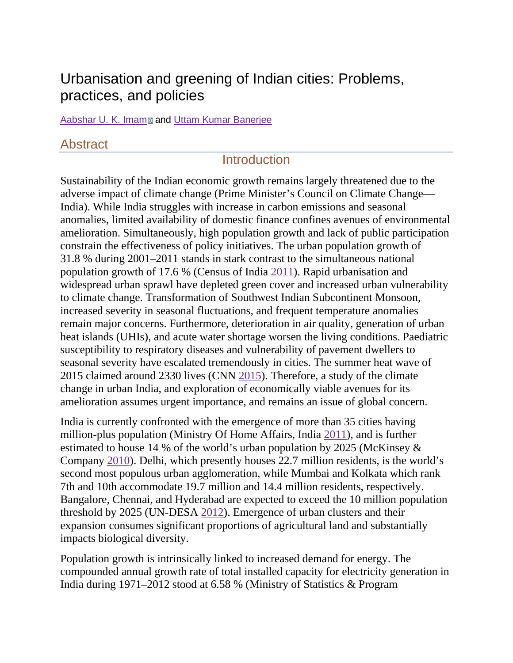# Urbanisation and greening of Indian cities: Problems, practices, and policies

[Aabshar U. K. Imam](https://www.ncbi.nlm.nih.gov/pubmed/?term=Imam%20AU%5BAuthor%5D&cauthor=true&cauthor_uid=26768899)<sup>ø</sup> and [Uttam Kumar Banerjee](https://www.ncbi.nlm.nih.gov/pubmed/?term=Banerjee%20UK%5BAuthor%5D&cauthor=true&cauthor_uid=26768899)

## Abstract

## **Introduction**

Sustainability of the Indian economic growth remains largely threatened due to the adverse impact of climate change (Prime Minister's Council on Climate Change— India). While India struggles with increase in carbon emissions and seasonal anomalies, limited availability of domestic finance confines avenues of environmental amelioration. Simultaneously, high population growth and lack of public participation constrain the effectiveness of policy initiatives. The urban population growth of 31.8 % during 2001–2011 stands in stark contrast to the simultaneous national population growth of 17.6 % (Census of India [2011\)](https://www.ncbi.nlm.nih.gov/pmc/articles/PMC4824703/#CR30). Rapid urbanisation and widespread urban sprawl have depleted green cover and increased urban vulnerability to climate change. Transformation of Southwest Indian Subcontinent Monsoon, increased severity in seasonal fluctuations, and frequent temperature anomalies remain major concerns. Furthermore, deterioration in air quality, generation of urban heat islands (UHIs), and acute water shortage worsen the living conditions. Paediatric susceptibility to respiratory diseases and vulnerability of pavement dwellers to seasonal severity have escalated tremendously in cities. The summer heat wave of 2015 claimed around 2330 lives (CNN [2015\)](https://www.ncbi.nlm.nih.gov/pmc/articles/PMC4824703/#CR16). Therefore, a study of the climate change in urban India, and exploration of economically viable avenues for its amelioration assumes urgent importance, and remains an issue of global concern.

India is currently confronted with the emergence of more than 35 cities having million-plus population (Ministry Of Home Affairs, India [2011\)](https://www.ncbi.nlm.nih.gov/pmc/articles/PMC4824703/#CR55), and is further estimated to house 14 % of the world's urban population by 2025 (McKinsey & Company [2010\)](https://www.ncbi.nlm.nih.gov/pmc/articles/PMC4824703/#CR51). Delhi, which presently houses 22.7 million residents, is the world's second most populous urban agglomeration, while Mumbai and Kolkata which rank 7th and 10th accommodate 19.7 million and 14.4 million residents, respectively. Bangalore, Chennai, and Hyderabad are expected to exceed the 10 million population threshold by 2025 (UN-DESA [2012\)](https://www.ncbi.nlm.nih.gov/pmc/articles/PMC4824703/#CR114). Emergence of urban clusters and their expansion consumes significant proportions of agricultural land and substantially impacts biological diversity.

Population growth is intrinsically linked to increased demand for energy. The compounded annual growth rate of total installed capacity for electricity generation in India during 1971–2012 stood at 6.58 % (Ministry of Statistics & Program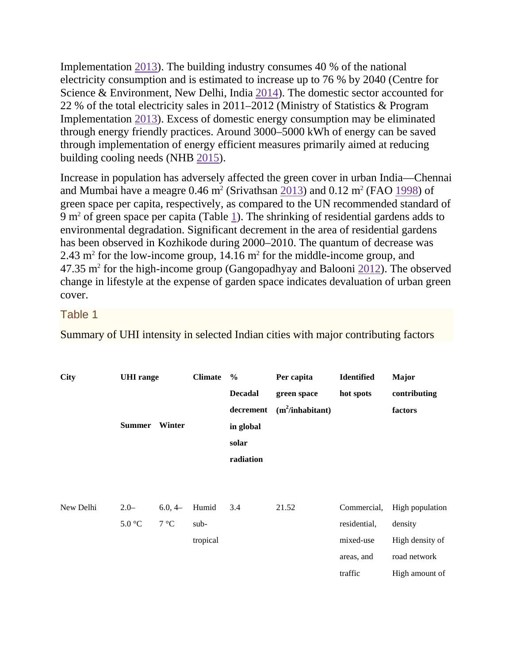Implementation [2013\)](https://www.ncbi.nlm.nih.gov/pmc/articles/PMC4824703/#CR60). The building industry consumes 40 % of the national electricity consumption and is estimated to increase up to 76 % by 2040 (Centre for Science & Environment, New Delhi, India [2014\)](https://www.ncbi.nlm.nih.gov/pmc/articles/PMC4824703/#CR9). The domestic sector accounted for 22 % of the total electricity sales in 2011–2012 (Ministry of Statistics & Program Implementation [2013\)](https://www.ncbi.nlm.nih.gov/pmc/articles/PMC4824703/#CR60). Excess of domestic energy consumption may be eliminated through energy friendly practices. Around 3000–5000 kWh of energy can be saved through implementation of energy efficient measures primarily aimed at reducing building cooling needs (NHB [2015\)](https://www.ncbi.nlm.nih.gov/pmc/articles/PMC4824703/#CR76).

Increase in population has adversely affected the green cover in urban India—Chennai and Mumbai have a meagre  $0.46$  m<sup>2</sup> (Srivathsan [2013\)](https://www.ncbi.nlm.nih.gov/pmc/articles/PMC4824703/#CR101) and  $0.12$  m<sup>2</sup> (FAO [1998\)](https://www.ncbi.nlm.nih.gov/pmc/articles/PMC4824703/#CR25) of green space per capita, respectively, as compared to the UN recommended standard of 9 m2 of green space per capita (Table [1\)](https://www.ncbi.nlm.nih.gov/pmc/articles/PMC4824703/table/Tab1/). The shrinking of residential gardens adds to environmental degradation. Significant decrement in the area of residential gardens has been observed in Kozhikode during 2000–2010. The quantum of decrease was 2.43 m<sup>2</sup> for the low-income group, 14.16 m<sup>2</sup> for the middle-income group, and  $47.35$  m<sup>2</sup> for the high-income group (Gangopadhyay and Balooni [2012\)](https://www.ncbi.nlm.nih.gov/pmc/articles/PMC4824703/#CR26). The observed change in lifestyle at the expense of garden space indicates devaluation of urban green cover.

### Table 1

Summary of UHI intensity in selected Indian cities with major contributing factors

| <b>City</b> | <b>UHI</b> range |              | <b>Climate</b> | $\%$           | Per capita         | <b>Identified</b> | Major           |
|-------------|------------------|--------------|----------------|----------------|--------------------|-------------------|-----------------|
|             |                  |              |                | <b>Decadal</b> | green space        | hot spots         | contributing    |
|             |                  |              |                | decrement      | $(m^2/inhabitant)$ |                   | factors         |
|             | <b>Summer</b>    | Winter       |                | in global      |                    |                   |                 |
|             |                  |              |                | solar          |                    |                   |                 |
|             |                  |              |                | radiation      |                    |                   |                 |
|             |                  |              |                |                |                    |                   |                 |
|             |                  |              |                |                |                    |                   |                 |
| New Delhi   | $2.0 -$          | $6.0, 4-$    | Humid          | 3.4            | 21.52              | Commercial,       | High population |
|             | 5.0 °C           | $7^{\circ}C$ | sub-           |                |                    | residential,      | density         |
|             |                  |              | tropical       |                |                    | mixed-use         | High density of |
|             |                  |              |                |                |                    | areas, and        | road network    |
|             |                  |              |                |                |                    | traffic           | High amount of  |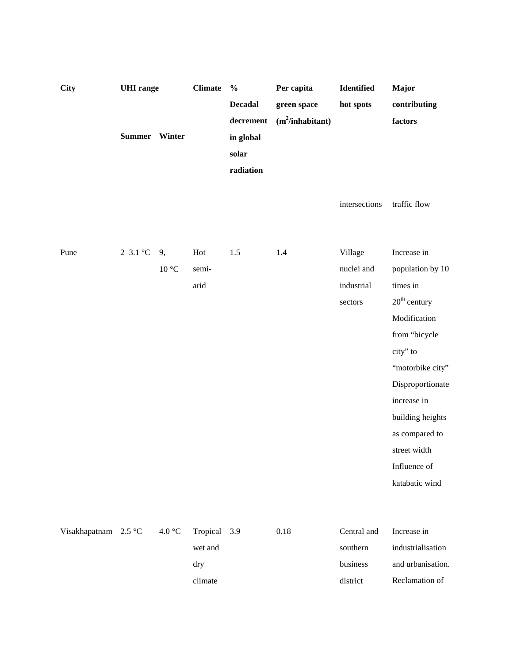| <b>City</b>          |               | <b>UHI</b> range          |              | <b>Climate</b><br>$\frac{0}{0}$ | Per capita         | Identified    | Major             |
|----------------------|---------------|---------------------------|--------------|---------------------------------|--------------------|---------------|-------------------|
|                      |               |                           |              | <b>Decadal</b>                  | green space        | hot spots     | contributing      |
|                      |               |                           |              | decrement                       | $(m^2/inhabitant)$ |               | factors           |
|                      | Summer Winter |                           |              | in global                       |                    |               |                   |
|                      |               |                           |              | solar                           |                    |               |                   |
|                      |               |                           |              | radiation                       |                    |               |                   |
|                      |               |                           |              |                                 |                    |               |                   |
|                      |               |                           |              |                                 |                    | intersections | traffic flow      |
|                      |               |                           |              |                                 |                    |               |                   |
|                      |               |                           |              |                                 |                    |               |                   |
| Pune                 | $2 - 3.1$ °C  | 9,                        | Hot          | 1.5                             | 1.4                | Village       | Increase in       |
|                      |               | $10\ ^{\circ}\textrm{C}$  | semi-        |                                 |                    | nuclei and    | population by 10  |
|                      |               |                           | arid         |                                 |                    | industrial    | times in          |
|                      |               |                           |              |                                 |                    | sectors       | $20th$ century    |
|                      |               |                           |              |                                 |                    |               | Modification      |
|                      |               |                           |              |                                 |                    |               | from "bicycle     |
|                      |               |                           |              |                                 |                    |               | city" to          |
|                      |               |                           |              |                                 |                    |               | "motorbike city"  |
|                      |               |                           |              |                                 |                    |               | Disproportionate  |
|                      |               |                           |              |                                 |                    |               | increase in       |
|                      |               |                           |              |                                 |                    |               | building heights  |
|                      |               |                           |              |                                 |                    |               | as compared to    |
|                      |               |                           |              |                                 |                    |               | street width      |
|                      |               |                           |              |                                 |                    |               | Influence of      |
|                      |               |                           |              |                                 |                    |               | katabatic wind    |
|                      |               |                           |              |                                 |                    |               |                   |
|                      |               |                           |              |                                 |                    |               |                   |
| Visakhapatnam 2.5 °C |               | $4.0\,^{\circ}\mathrm{C}$ | Tropical 3.9 |                                 | $0.18\,$           | Central and   | Increase in       |
|                      |               |                           | wet and      |                                 |                    | southern      | industrialisation |
|                      |               |                           | dry          |                                 |                    | business      | and urbanisation. |
|                      |               |                           | climate      |                                 |                    | district      | Reclamation of    |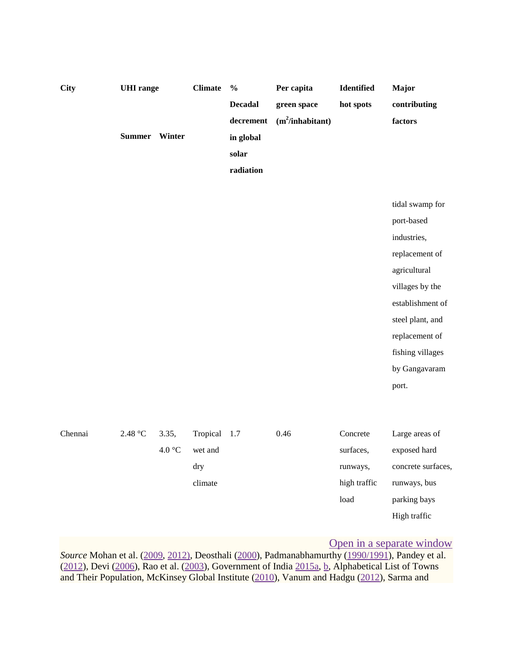| <b>City</b> | <b>UHI</b> range<br>Summer Winter |                 | <b>Climate</b>                        | $\frac{0}{0}$<br><b>Decadal</b><br>decrement<br>in global<br>solar<br>radiation | Per capita<br>green space<br>$(m^2/inhabitant)$ | Identified<br>hot spots                                   | Major<br>contributing<br>factors                                                                                                                                                                          |
|-------------|-----------------------------------|-----------------|---------------------------------------|---------------------------------------------------------------------------------|-------------------------------------------------|-----------------------------------------------------------|-----------------------------------------------------------------------------------------------------------------------------------------------------------------------------------------------------------|
|             |                                   |                 |                                       |                                                                                 |                                                 |                                                           | tidal swamp for<br>port-based<br>industries,<br>replacement of<br>agricultural<br>villages by the<br>establishment of<br>steel plant, and<br>replacement of<br>fishing villages<br>by Gangavaram<br>port. |
| Chennai     | $2.48 °C$                         | 3.35,<br>4.0 °C | Tropical<br>wet and<br>dry<br>climate | 1.7                                                                             | 0.46                                            | Concrete<br>surfaces,<br>runways,<br>high traffic<br>load | Large areas of<br>exposed hard<br>concrete surfaces,<br>runways, bus<br>parking bays<br>High traffic                                                                                                      |

### [Open in a separate window](https://www.ncbi.nlm.nih.gov/pmc/articles/PMC4824703/table/Tab1/?report=objectonly)

*Source* Mohan et al. [\(2009,](https://www.ncbi.nlm.nih.gov/pmc/articles/PMC4824703/#CR70) [2012\),](https://www.ncbi.nlm.nih.gov/pmc/articles/PMC4824703/#CR71) Deosthali [\(2000\)](https://www.ncbi.nlm.nih.gov/pmc/articles/PMC4824703/#CR19), Padmanabhamurthy [\(1990/1991\)](https://www.ncbi.nlm.nih.gov/pmc/articles/PMC4824703/#CR80), Pandey et al. [\(2012\)](https://www.ncbi.nlm.nih.gov/pmc/articles/PMC4824703/#CR82), Devi [\(2006\)](https://www.ncbi.nlm.nih.gov/pmc/articles/PMC4824703/#CR21), Rao et al. [\(2003\)](https://www.ncbi.nlm.nih.gov/pmc/articles/PMC4824703/#CR91), Government of India [2015a,](https://www.ncbi.nlm.nih.gov/pmc/articles/PMC4824703/#CR29) [b,](https://www.ncbi.nlm.nih.gov/pmc/articles/PMC4824703/#CR30) Alphabetical List of Towns and Their Population, McKinsey Global Institute [\(2010\)](https://www.ncbi.nlm.nih.gov/pmc/articles/PMC4824703/#CR51), Vanum and Hadgu [\(2012\)](https://www.ncbi.nlm.nih.gov/pmc/articles/PMC4824703/#CR117), Sarma and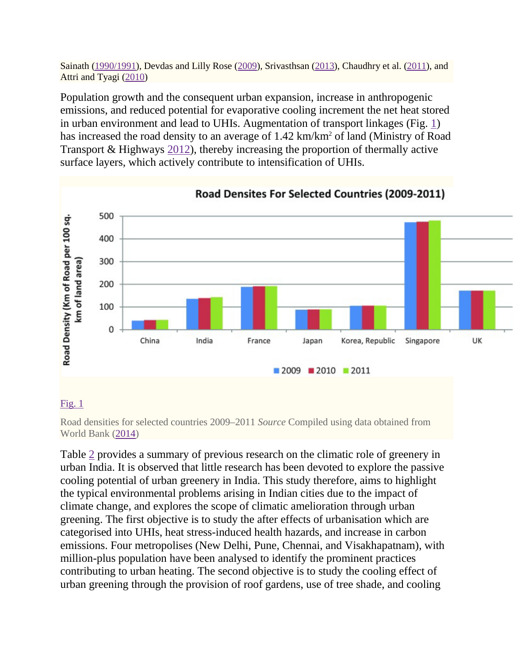Sainath [\(1990/1991\)](https://www.ncbi.nlm.nih.gov/pmc/articles/PMC4824703/#CR94), Devdas and Lilly Rose [\(2009\)](https://www.ncbi.nlm.nih.gov/pmc/articles/PMC4824703/#CR20), Srivasthsan [\(2013\)](https://www.ncbi.nlm.nih.gov/pmc/articles/PMC4824703/#CR101), Chaudhry et al. [\(2011\)](https://www.ncbi.nlm.nih.gov/pmc/articles/PMC4824703/#CR13), and Attri and Tyagi [\(2010\)](https://www.ncbi.nlm.nih.gov/pmc/articles/PMC4824703/#CR6)

Population growth and the consequent urban expansion, increase in anthropogenic emissions, and reduced potential for evaporative cooling increment the net heat stored in urban environment and lead to UHIs. Augmentation of transport linkages (Fig. [1\)](https://www.ncbi.nlm.nih.gov/pmc/articles/PMC4824703/figure/Fig1/) has increased the road density to an average of 1.42 km/km<sup>2</sup> of land (Ministry of Road) Transport & Highways [2012\)](https://www.ncbi.nlm.nih.gov/pmc/articles/PMC4824703/#CR58), thereby increasing the proportion of thermally active surface layers, which actively contribute to intensification of UHIs.



### [Fig.](https://www.ncbi.nlm.nih.gov/pmc/articles/PMC4824703/figure/Fig1/)  $1$

Road densities for selected countries 2009–2011 *Source* Compiled using data obtained from World Bank [\(2014\)](https://www.ncbi.nlm.nih.gov/pmc/articles/PMC4824703/#CR120)

Table [2](https://www.ncbi.nlm.nih.gov/pmc/articles/PMC4824703/table/Tab2/) provides a summary of previous research on the climatic role of greenery in urban India. It is observed that little research has been devoted to explore the passive cooling potential of urban greenery in India. This study therefore, aims to highlight the typical environmental problems arising in Indian cities due to the impact of climate change, and explores the scope of climatic amelioration through urban greening. The first objective is to study the after effects of urbanisation which are categorised into UHIs, heat stress-induced health hazards, and increase in carbon emissions. Four metropolises (New Delhi, Pune, Chennai, and Visakhapatnam), with million-plus population have been analysed to identify the prominent practices contributing to urban heating. The second objective is to study the cooling effect of urban greening through the provision of roof gardens, use of tree shade, and cooling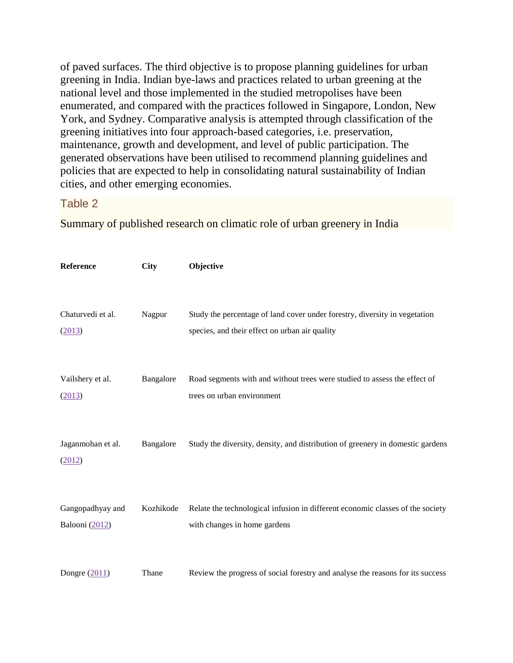of paved surfaces. The third objective is to propose planning guidelines for urban greening in India. Indian bye-laws and practices related to urban greening at the national level and those implemented in the studied metropolises have been enumerated, and compared with the practices followed in Singapore, London, New York, and Sydney. Comparative analysis is attempted through classification of the greening initiatives into four approach-based categories, i.e. preservation, maintenance, growth and development, and level of public participation. The generated observations have been utilised to recommend planning guidelines and policies that are expected to help in consolidating natural sustainability of Indian cities, and other emerging economies.

### Table 2

Summary of published research on climatic role of urban greenery in India

| Reference                          | <b>City</b> | Objective                                                                                                                    |
|------------------------------------|-------------|------------------------------------------------------------------------------------------------------------------------------|
| Chaturvedi et al.<br>(2013)        | Nagpur      | Study the percentage of land cover under forestry, diversity in vegetation<br>species, and their effect on urban air quality |
| Vailshery et al.<br>(2013)         | Bangalore   | Road segments with and without trees were studied to assess the effect of<br>trees on urban environment                      |
| Jaganmohan et al.<br>(2012)        | Bangalore   | Study the diversity, density, and distribution of greenery in domestic gardens                                               |
| Gangopadhyay and<br>Balooni (2012) | Kozhikode   | Relate the technological infusion in different economic classes of the society<br>with changes in home gardens               |
| Dongre $(2011)$                    | Thane       | Review the progress of social forestry and analyse the reasons for its success                                               |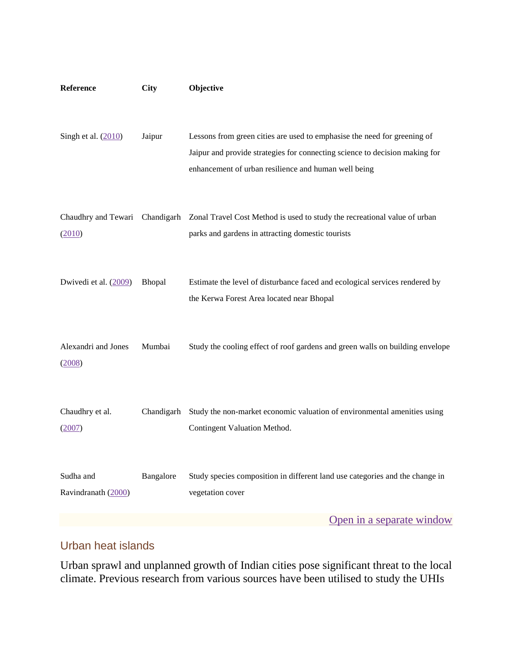| Reference                        | <b>City</b> | Objective                                                                                                                                                                                                       |
|----------------------------------|-------------|-----------------------------------------------------------------------------------------------------------------------------------------------------------------------------------------------------------------|
| Singh et al. $(2010)$            | Jaipur      | Lessons from green cities are used to emphasise the need for greening of<br>Jaipur and provide strategies for connecting science to decision making for<br>enhancement of urban resilience and human well being |
| (2010)                           |             | Chaudhry and Tewari Chandigarh Zonal Travel Cost Method is used to study the recreational value of urban<br>parks and gardens in attracting domestic tourists                                                   |
| Dwivedi et al. (2009)            | Bhopal      | Estimate the level of disturbance faced and ecological services rendered by<br>the Kerwa Forest Area located near Bhopal                                                                                        |
| Alexandri and Jones<br>(2008)    | Mumbai      | Study the cooling effect of roof gardens and green walls on building envelope                                                                                                                                   |
| Chaudhry et al.<br>(2007)        | Chandigarh  | Study the non-market economic valuation of environmental amenities using<br>Contingent Valuation Method.                                                                                                        |
| Sudha and<br>Ravindranath (2000) | Bangalore   | Study species composition in different land use categories and the change in<br>vegetation cover                                                                                                                |
|                                  |             | Open in a separate window                                                                                                                                                                                       |

## Urban heat islands

Urban sprawl and unplanned growth of Indian cities pose significant threat to the local climate. Previous research from various sources have been utilised to study the UHIs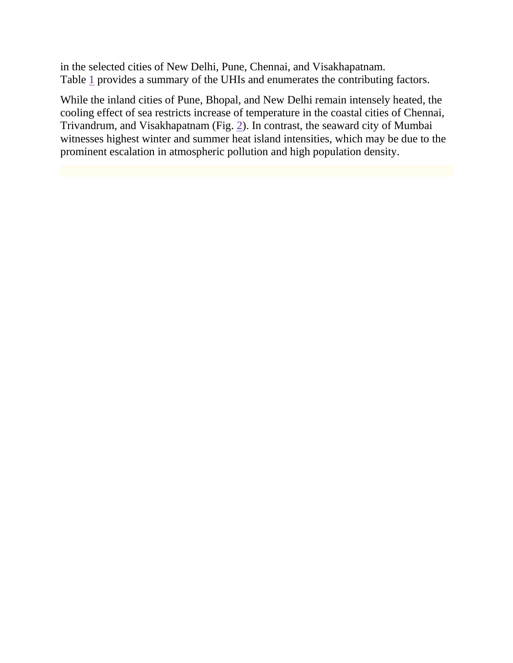in the selected cities of New Delhi, Pune, Chennai, and Visakhapatnam. Table [1](https://www.ncbi.nlm.nih.gov/pmc/articles/PMC4824703/table/Tab1/) provides a summary of the UHIs and enumerates the contributing factors.

While the inland cities of Pune, Bhopal, and New Delhi remain intensely heated, the cooling effect of sea restricts increase of temperature in the coastal cities of Chennai, Trivandrum, and Visakhapatnam (Fig. [2\)](https://www.ncbi.nlm.nih.gov/pmc/articles/PMC4824703/figure/Fig2/). In contrast, the seaward city of Mumbai witnesses highest winter and summer heat island intensities, which may be due to the prominent escalation in atmospheric pollution and high population density.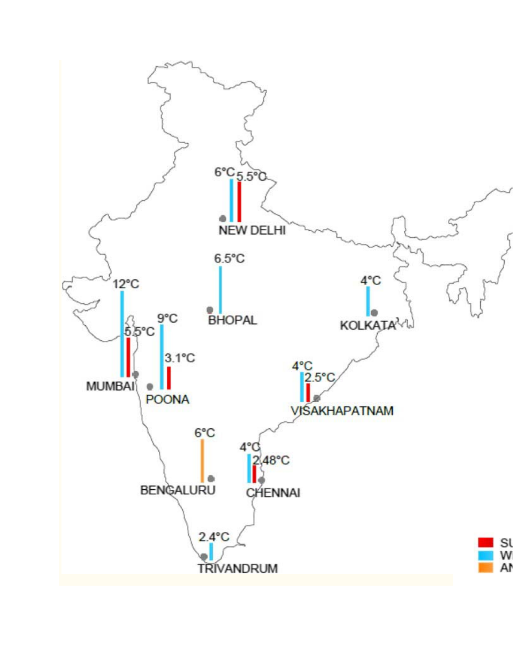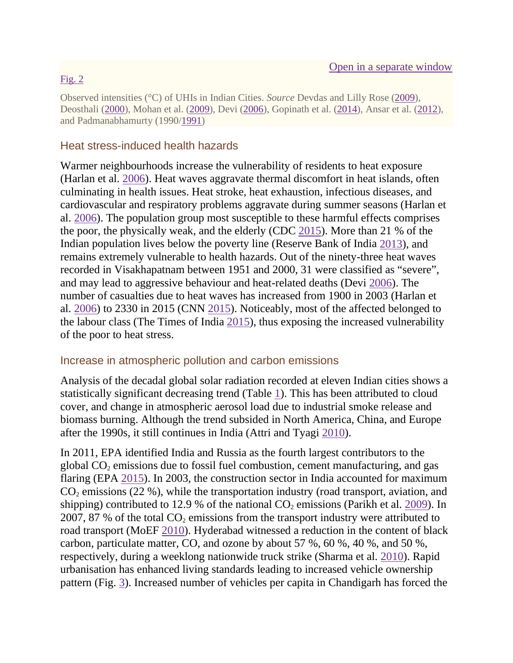### [Fig.](https://www.ncbi.nlm.nih.gov/pmc/articles/PMC4824703/figure/Fig2/)  $2$

Observed intensities (°C) of UHIs in Indian Cities. *Source* Devdas and Lilly Rose [\(2009\)](https://www.ncbi.nlm.nih.gov/pmc/articles/PMC4824703/#CR20), Deosthali [\(2000\)](https://www.ncbi.nlm.nih.gov/pmc/articles/PMC4824703/#CR19), Mohan et al. [\(2009\)](https://www.ncbi.nlm.nih.gov/pmc/articles/PMC4824703/#CR70), Devi [\(2006\)](https://www.ncbi.nlm.nih.gov/pmc/articles/PMC4824703/#CR21), Gopinath et al. [\(2014\)](https://www.ncbi.nlm.nih.gov/pmc/articles/PMC4824703/#CR28), Ansar et al. [\(2012\)](https://www.ncbi.nlm.nih.gov/pmc/articles/PMC4824703/#CR4), and Padmanabhamurty (1990[/1991\)](https://www.ncbi.nlm.nih.gov/pmc/articles/PMC4824703/#CR80)

## Heat stress-induced health hazards

Warmer neighbourhoods increase the vulnerability of residents to heat exposure (Harlan et al. [2006\)](https://www.ncbi.nlm.nih.gov/pmc/articles/PMC4824703/#CR38). Heat waves aggravate thermal discomfort in heat islands, often culminating in health issues. Heat stroke, heat exhaustion, infectious diseases, and cardiovascular and respiratory problems aggravate during summer seasons (Harlan et al. [2006\)](https://www.ncbi.nlm.nih.gov/pmc/articles/PMC4824703/#CR38). The population group most susceptible to these harmful effects comprises the poor, the physically weak, and the elderly (CDC [2015\)](https://www.ncbi.nlm.nih.gov/pmc/articles/PMC4824703/#CR8). More than 21 % of the Indian population lives below the poverty line (Reserve Bank of India [2013\)](https://www.ncbi.nlm.nih.gov/pmc/articles/PMC4824703/#CR92), and remains extremely vulnerable to health hazards. Out of the ninety-three heat waves recorded in Visakhapatnam between 1951 and 2000, 31 were classified as "severe", and may lead to aggressive behaviour and heat-related deaths (Devi [2006\)](https://www.ncbi.nlm.nih.gov/pmc/articles/PMC4824703/#CR21). The number of casualties due to heat waves has increased from 1900 in 2003 (Harlan et al. [2006\)](https://www.ncbi.nlm.nih.gov/pmc/articles/PMC4824703/#CR38) to 2330 in 2015 (CNN [2015\)](https://www.ncbi.nlm.nih.gov/pmc/articles/PMC4824703/#CR16). Noticeably, most of the affected belonged to the labour class (The Times of India [2015\)](https://www.ncbi.nlm.nih.gov/pmc/articles/PMC4824703/#CR108), thus exposing the increased vulnerability of the poor to heat stress.

### Increase in atmospheric pollution and carbon emissions

Analysis of the decadal global solar radiation recorded at eleven Indian cities shows a statistically significant decreasing trend (Table [1\)](https://www.ncbi.nlm.nih.gov/pmc/articles/PMC4824703/table/Tab1/). This has been attributed to cloud cover, and change in atmospheric aerosol load due to industrial smoke release and biomass burning. Although the trend subsided in North America, China, and Europe after the 1990s, it still continues in India (Attri and Tyagi [2010\)](https://www.ncbi.nlm.nih.gov/pmc/articles/PMC4824703/#CR6).

In 2011, EPA identified India and Russia as the fourth largest contributors to the global  $CO<sub>2</sub>$  emissions due to fossil fuel combustion, cement manufacturing, and gas flaring (EPA [2015\)](https://www.ncbi.nlm.nih.gov/pmc/articles/PMC4824703/#CR39). In 2003, the construction sector in India accounted for maximum  $CO<sub>2</sub>$  emissions (22 %), while the transportation industry (road transport, aviation, and shipping) contributed to 12.9 % of the national  $CO<sub>2</sub>$  emissions (Parikh et al. [2009\)](https://www.ncbi.nlm.nih.gov/pmc/articles/PMC4824703/#CR83). In 2007, 87 % of the total  $CO_2$  emissions from the transport industry were attributed to road transport (MoEF [2010\)](https://www.ncbi.nlm.nih.gov/pmc/articles/PMC4824703/#CR44). Hyderabad witnessed a reduction in the content of black carbon, particulate matter, CO, and ozone by about 57 %, 60 %, 40 %, and 50 %, respectively, during a weeklong nationwide truck strike (Sharma et al. [2010\)](https://www.ncbi.nlm.nih.gov/pmc/articles/PMC4824703/#CR95). Rapid urbanisation has enhanced living standards leading to increased vehicle ownership pattern (Fig. [3\)](https://www.ncbi.nlm.nih.gov/pmc/articles/PMC4824703/figure/Fig3/). Increased number of vehicles per capita in Chandigarh has forced the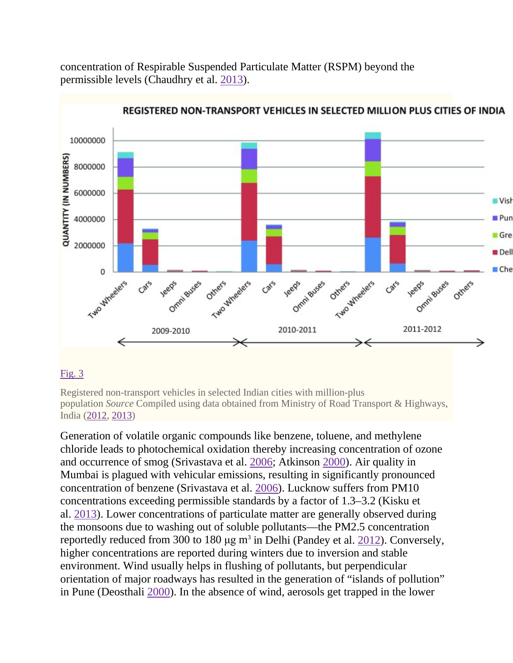concentration of Respirable Suspended Particulate Matter (RSPM) beyond the permissible levels (Chaudhry et al. [2013\)](https://www.ncbi.nlm.nih.gov/pmc/articles/PMC4824703/#CR14).



### [Fig.](https://www.ncbi.nlm.nih.gov/pmc/articles/PMC4824703/figure/Fig3/)  $3$

Registered non-transport vehicles in selected Indian cities with million-plus population *Source* Compiled using data obtained from Ministry of Road Transport & Highways, India [\(2012,](https://www.ncbi.nlm.nih.gov/pmc/articles/PMC4824703/#CR58) [2013\)](https://www.ncbi.nlm.nih.gov/pmc/articles/PMC4824703/#CR59)

Generation of volatile organic compounds like benzene, toluene, and methylene chloride leads to photochemical oxidation thereby increasing concentration of ozone and occurrence of smog (Srivastava et al. [2006;](https://www.ncbi.nlm.nih.gov/pmc/articles/PMC4824703/#CR100) Atkinson [2000\)](https://www.ncbi.nlm.nih.gov/pmc/articles/PMC4824703/#CR5). Air quality in Mumbai is plagued with vehicular emissions, resulting in significantly pronounced concentration of benzene (Srivastava et al. [2006\)](https://www.ncbi.nlm.nih.gov/pmc/articles/PMC4824703/#CR100). Lucknow suffers from PM10 concentrations exceeding permissible standards by a factor of 1.3–3.2 (Kisku et al. [2013\)](https://www.ncbi.nlm.nih.gov/pmc/articles/PMC4824703/#CR48). Lower concentrations of particulate matter are generally observed during the monsoons due to washing out of soluble pollutants—the PM2.5 concentration reportedly reduced from 300 to 180  $\mu$ g m<sup>3</sup> in Delhi (Pandey et al. [2012\)](https://www.ncbi.nlm.nih.gov/pmc/articles/PMC4824703/#CR82). Conversely, higher concentrations are reported during winters due to inversion and stable environment. Wind usually helps in flushing of pollutants, but perpendicular orientation of major roadways has resulted in the generation of "islands of pollution" in Pune (Deosthali [2000\)](https://www.ncbi.nlm.nih.gov/pmc/articles/PMC4824703/#CR19). In the absence of wind, aerosols get trapped in the lower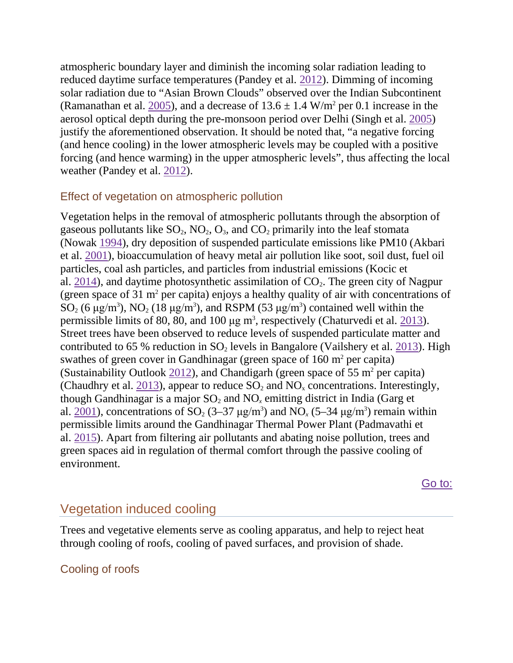atmospheric boundary layer and diminish the incoming solar radiation leading to reduced daytime surface temperatures (Pandey et al. [2012\)](https://www.ncbi.nlm.nih.gov/pmc/articles/PMC4824703/#CR82). Dimming of incoming solar radiation due to "Asian Brown Clouds" observed over the Indian Subcontinent (Ramanathan et al. [2005\)](https://www.ncbi.nlm.nih.gov/pmc/articles/PMC4824703/#CR90), and a decrease of  $13.6 \pm 1.4$  W/m<sup>2</sup> per 0.1 increase in the aerosol optical depth during the pre-monsoon period over Delhi (Singh et al. [2005\)](https://www.ncbi.nlm.nih.gov/pmc/articles/PMC4824703/#CR98) justify the aforementioned observation. It should be noted that, "a negative forcing (and hence cooling) in the lower atmospheric levels may be coupled with a positive forcing (and hence warming) in the upper atmospheric levels", thus affecting the local weather (Pandey et al. [2012\)](https://www.ncbi.nlm.nih.gov/pmc/articles/PMC4824703/#CR82).

### Effect of vegetation on atmospheric pollution

Vegetation helps in the removal of atmospheric pollutants through the absorption of gaseous pollutants like  $SO_2$ ,  $NO_2$ ,  $O_3$ , and  $CO_2$  primarily into the leaf stomata (Nowak [1994\)](https://www.ncbi.nlm.nih.gov/pmc/articles/PMC4824703/#CR77), dry deposition of suspended particulate emissions like PM10 (Akbari et al. [2001\)](https://www.ncbi.nlm.nih.gov/pmc/articles/PMC4824703/#CR2), bioaccumulation of heavy metal air pollution like soot, soil dust, fuel oil particles, coal ash particles, and particles from industrial emissions (Kocic et al. [2014\)](https://www.ncbi.nlm.nih.gov/pmc/articles/PMC4824703/#CR49), and daytime photosynthetic assimilation of  $CO<sub>2</sub>$ . The green city of Nagpur (green space of 31  $m<sup>2</sup>$  per capita) enjoys a healthy quality of air with concentrations of SO<sub>2</sub> (6  $\mu$ g/m<sup>3</sup>), NO<sub>2</sub> (18  $\mu$ g/m<sup>3</sup>), and RSPM (53  $\mu$ g/m<sup>3</sup>) contained well within the permissible limits of 80, 80, and 100  $\mu$ g m<sup>3</sup>, respectively (Chaturvedi et al.  $\frac{2013}{2013}$ ). Street trees have been observed to reduce levels of suspended particulate matter and contributed to 65 % reduction in  $SO_2$  levels in Bangalore (Vailshery et al. [2013\)](https://www.ncbi.nlm.nih.gov/pmc/articles/PMC4824703/#CR116). High swathes of green cover in Gandhinagar (green space of  $160 \text{ m}^2$  per capita) (Sustainability Outlook [2012\)](https://www.ncbi.nlm.nih.gov/pmc/articles/PMC4824703/#CR104), and Chandigarh (green space of 55 m<sup>2</sup> per capita) (Chaudhry et al. [2013\)](https://www.ncbi.nlm.nih.gov/pmc/articles/PMC4824703/#CR14), appear to reduce  $SO_2$  and  $NO<sub>x</sub>$  concentrations. Interestingly, though Gandhinagar is a major  $SO_2$  and  $NO<sub>x</sub>$  emitting district in India (Garg et al.  $2001$ ), concentrations of SO<sub>2</sub> (3–37  $\mu$ g/m<sup>3</sup>) and NO<sub>x</sub> (5–34  $\mu$ g/m<sup>3</sup>) remain within permissible limits around the Gandhinagar Thermal Power Plant (Padmavathi et al. [2015\)](https://www.ncbi.nlm.nih.gov/pmc/articles/PMC4824703/#CR81). Apart from filtering air pollutants and abating noise pollution, trees and green spaces aid in regulation of thermal comfort through the passive cooling of environment.

[Go to:](https://www.ncbi.nlm.nih.gov/pmc/articles/PMC4824703/)

## Vegetation induced cooling

Trees and vegetative elements serve as cooling apparatus, and help to reject heat through cooling of roofs, cooling of paved surfaces, and provision of shade.

## Cooling of roofs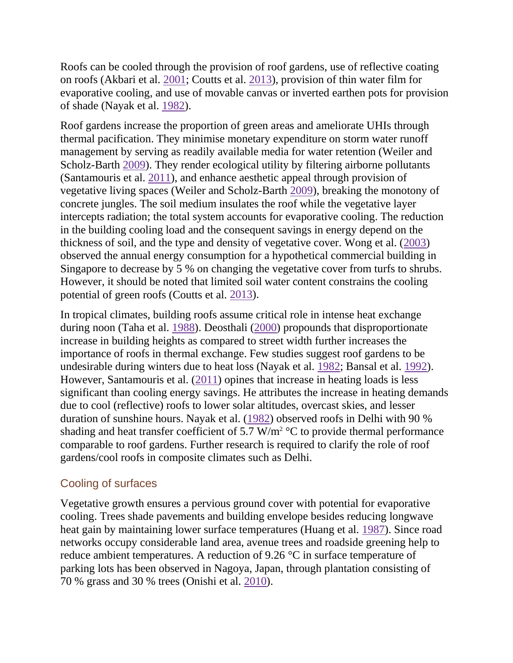Roofs can be cooled through the provision of roof gardens, use of reflective coating on roofs (Akbari et al. [2001;](https://www.ncbi.nlm.nih.gov/pmc/articles/PMC4824703/#CR2) Coutts et al. [2013\)](https://www.ncbi.nlm.nih.gov/pmc/articles/PMC4824703/#CR17), provision of thin water film for evaporative cooling, and use of movable canvas or inverted earthen pots for provision of shade (Nayak et al. [1982\)](https://www.ncbi.nlm.nih.gov/pmc/articles/PMC4824703/#CR73).

Roof gardens increase the proportion of green areas and ameliorate UHIs through thermal pacification. They minimise monetary expenditure on storm water runoff management by serving as readily available media for water retention (Weiler and Scholz-Barth [2009\)](https://www.ncbi.nlm.nih.gov/pmc/articles/PMC4824703/#CR118). They render ecological utility by filtering airborne pollutants (Santamouris et al. [2011\)](https://www.ncbi.nlm.nih.gov/pmc/articles/PMC4824703/#CR93), and enhance aesthetic appeal through provision of vegetative living spaces (Weiler and Scholz-Barth [2009\)](https://www.ncbi.nlm.nih.gov/pmc/articles/PMC4824703/#CR118), breaking the monotony of concrete jungles. The soil medium insulates the roof while the vegetative layer intercepts radiation; the total system accounts for evaporative cooling. The reduction in the building cooling load and the consequent savings in energy depend on the thickness of soil, and the type and density of vegetative cover. Wong et al. [\(2003\)](https://www.ncbi.nlm.nih.gov/pmc/articles/PMC4824703/#CR119) observed the annual energy consumption for a hypothetical commercial building in Singapore to decrease by 5 % on changing the vegetative cover from turfs to shrubs. However, it should be noted that limited soil water content constrains the cooling potential of green roofs (Coutts et al. [2013\)](https://www.ncbi.nlm.nih.gov/pmc/articles/PMC4824703/#CR17).

In tropical climates, building roofs assume critical role in intense heat exchange during noon (Taha et al. [1988\)](https://www.ncbi.nlm.nih.gov/pmc/articles/PMC4824703/#CR105). Deosthali [\(2000\)](https://www.ncbi.nlm.nih.gov/pmc/articles/PMC4824703/#CR19) propounds that disproportionate increase in building heights as compared to street width further increases the importance of roofs in thermal exchange. Few studies suggest roof gardens to be undesirable during winters due to heat loss (Nayak et al. [1982;](https://www.ncbi.nlm.nih.gov/pmc/articles/PMC4824703/#CR73) Bansal et al. [1992\)](https://www.ncbi.nlm.nih.gov/pmc/articles/PMC4824703/#CR7). However, Santamouris et al. [\(2011\)](https://www.ncbi.nlm.nih.gov/pmc/articles/PMC4824703/#CR93) opines that increase in heating loads is less significant than cooling energy savings. He attributes the increase in heating demands due to cool (reflective) roofs to lower solar altitudes, overcast skies, and lesser duration of sunshine hours. Nayak et al. [\(1982\)](https://www.ncbi.nlm.nih.gov/pmc/articles/PMC4824703/#CR73) observed roofs in Delhi with 90 % shading and heat transfer coefficient of 5.7 W/m<sup>2</sup>  $\rm{^{\circ}C}$  to provide thermal performance comparable to roof gardens. Further research is required to clarify the role of roof gardens/cool roofs in composite climates such as Delhi.

## Cooling of surfaces

Vegetative growth ensures a pervious ground cover with potential for evaporative cooling. Trees shade pavements and building envelope besides reducing longwave heat gain by maintaining lower surface temperatures (Huang et al. [1987\)](https://www.ncbi.nlm.nih.gov/pmc/articles/PMC4824703/#CR43). Since road networks occupy considerable land area, avenue trees and roadside greening help to reduce ambient temperatures. A reduction of 9.26 °C in surface temperature of parking lots has been observed in Nagoya, Japan, through plantation consisting of 70 % grass and 30 % trees (Onishi et al. [2010\)](https://www.ncbi.nlm.nih.gov/pmc/articles/PMC4824703/#CR79).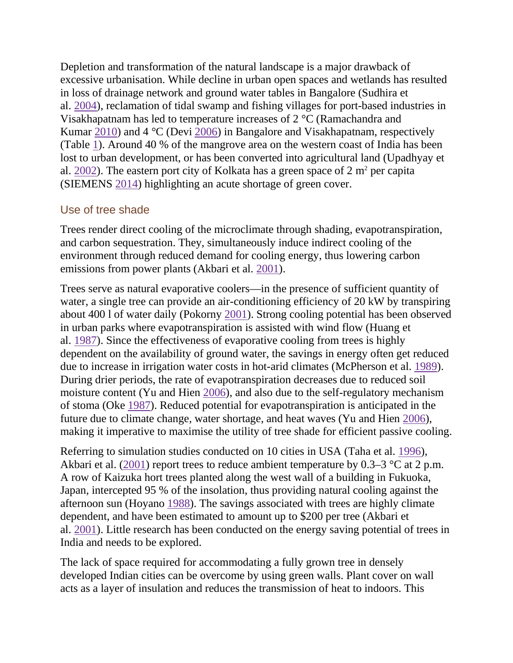Depletion and transformation of the natural landscape is a major drawback of excessive urbanisation. While decline in urban open spaces and wetlands has resulted in loss of drainage network and ground water tables in Bangalore (Sudhira et al. [2004\)](https://www.ncbi.nlm.nih.gov/pmc/articles/PMC4824703/#CR103), reclamation of tidal swamp and fishing villages for port-based industries in Visakhapatnam has led to temperature increases of 2 °C (Ramachandra and Kumar [2010\)](https://www.ncbi.nlm.nih.gov/pmc/articles/PMC4824703/#CR89) and 4 °C (Devi [2006\)](https://www.ncbi.nlm.nih.gov/pmc/articles/PMC4824703/#CR21) in Bangalore and Visakhapatnam, respectively (Table [1\)](https://www.ncbi.nlm.nih.gov/pmc/articles/PMC4824703/table/Tab1/). Around 40 % of the mangrove area on the western coast of India has been lost to urban development, or has been converted into agricultural land (Upadhyay et al. [2002\)](https://www.ncbi.nlm.nih.gov/pmc/articles/PMC4824703/#CR115). The eastern port city of Kolkata has a green space of  $2 \text{ m}^2$  per capita (SIEMENS [2014\)](https://www.ncbi.nlm.nih.gov/pmc/articles/PMC4824703/#CR96) highlighting an acute shortage of green cover.

## Use of tree shade

Trees render direct cooling of the microclimate through shading, evapotranspiration, and carbon sequestration. They, simultaneously induce indirect cooling of the environment through reduced demand for cooling energy, thus lowering carbon emissions from power plants (Akbari et al. [2001\)](https://www.ncbi.nlm.nih.gov/pmc/articles/PMC4824703/#CR2).

Trees serve as natural evaporative coolers—in the presence of sufficient quantity of water, a single tree can provide an air-conditioning efficiency of 20 kW by transpiring about 400 l of water daily (Pokorny [2001\)](https://www.ncbi.nlm.nih.gov/pmc/articles/PMC4824703/#CR85). Strong cooling potential has been observed in urban parks where evapotranspiration is assisted with wind flow (Huang et al. [1987\)](https://www.ncbi.nlm.nih.gov/pmc/articles/PMC4824703/#CR43). Since the effectiveness of evaporative cooling from trees is highly dependent on the availability of ground water, the savings in energy often get reduced due to increase in irrigation water costs in hot-arid climates (McPherson et al. [1989\)](https://www.ncbi.nlm.nih.gov/pmc/articles/PMC4824703/#CR52). During drier periods, the rate of evapotranspiration decreases due to reduced soil moisture content (Yu and Hien [2006\)](https://www.ncbi.nlm.nih.gov/pmc/articles/PMC4824703/#CR121), and also due to the self-regulatory mechanism of stoma (Oke [1987\)](https://www.ncbi.nlm.nih.gov/pmc/articles/PMC4824703/#CR78). Reduced potential for evapotranspiration is anticipated in the future due to climate change, water shortage, and heat waves (Yu and Hien [2006\)](https://www.ncbi.nlm.nih.gov/pmc/articles/PMC4824703/#CR121), making it imperative to maximise the utility of tree shade for efficient passive cooling.

Referring to simulation studies conducted on 10 cities in USA (Taha et al. [1996\)](https://www.ncbi.nlm.nih.gov/pmc/articles/PMC4824703/#CR106), Akbari et al.  $(2001)$  report trees to reduce ambient temperature by 0.3–3 °C at 2 p.m. A row of Kaizuka hort trees planted along the west wall of a building in Fukuoka, Japan, intercepted 95 % of the insolation, thus providing natural cooling against the afternoon sun (Hoyano [1988\)](https://www.ncbi.nlm.nih.gov/pmc/articles/PMC4824703/#CR42). The savings associated with trees are highly climate dependent, and have been estimated to amount up to \$200 per tree (Akbari et al. [2001\)](https://www.ncbi.nlm.nih.gov/pmc/articles/PMC4824703/#CR2). Little research has been conducted on the energy saving potential of trees in India and needs to be explored.

The lack of space required for accommodating a fully grown tree in densely developed Indian cities can be overcome by using green walls. Plant cover on wall acts as a layer of insulation and reduces the transmission of heat to indoors. This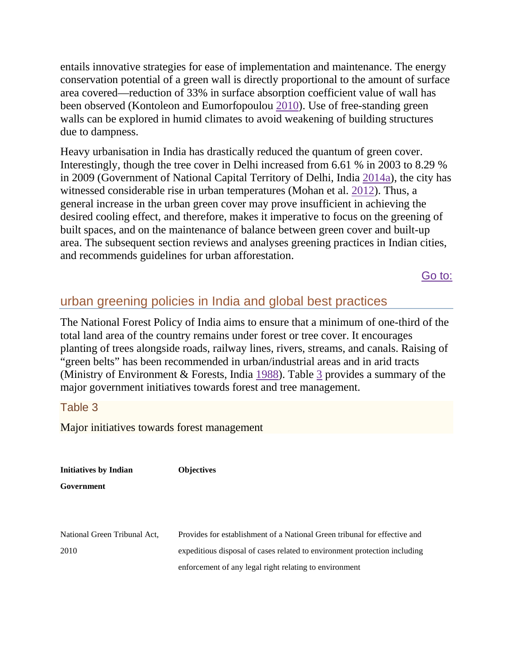entails innovative strategies for ease of implementation and maintenance. The energy conservation potential of a green wall is directly proportional to the amount of surface area covered—reduction of 33% in surface absorption coefficient value of wall has been observed (Kontoleon and Eumorfopoulou [2010\)](https://www.ncbi.nlm.nih.gov/pmc/articles/PMC4824703/#CR50). Use of free-standing green walls can be explored in humid climates to avoid weakening of building structures due to dampness.

Heavy urbanisation in India has drastically reduced the quantum of green cover. Interestingly, though the tree cover in Delhi increased from 6.61 % in 2003 to 8.29 % in 2009 (Government of National Capital Territory of Delhi, India [2014a\)](https://www.ncbi.nlm.nih.gov/pmc/articles/PMC4824703/#CR32), the city has witnessed considerable rise in urban temperatures (Mohan et al. [2012\)](https://www.ncbi.nlm.nih.gov/pmc/articles/PMC4824703/#CR71). Thus, a general increase in the urban green cover may prove insufficient in achieving the desired cooling effect, and therefore, makes it imperative to focus on the greening of built spaces, and on the maintenance of balance between green cover and built-up area. The subsequent section reviews and analyses greening practices in Indian cities, and recommends guidelines for urban afforestation.

[Go to:](https://www.ncbi.nlm.nih.gov/pmc/articles/PMC4824703/)

## urban greening policies in India and global best practices

The National Forest Policy of India aims to ensure that a minimum of one-third of the total land area of the country remains under forest or tree cover. It encourages planting of trees alongside roads, railway lines, rivers, streams, and canals. Raising of "green belts" has been recommended in urban/industrial areas and in arid tracts (Ministry of Environment & Forests, India [1988\)](https://www.ncbi.nlm.nih.gov/pmc/articles/PMC4824703/#CR53). Table [3](https://www.ncbi.nlm.nih.gov/pmc/articles/PMC4824703/table/Tab3/) provides a summary of the major government initiatives towards forest and tree management.

### Table 3

Major initiatives towards forest management

**Initiatives by Indian Government Objectives** National Green Tribunal Act, 2010 Provides for establishment of a National Green tribunal for effective and expeditious disposal of cases related to environment protection including enforcement of any legal right relating to environment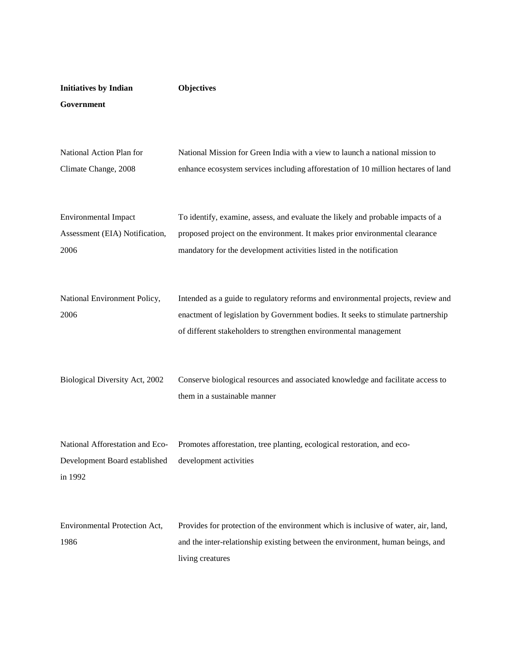| <b>Initiatives by Indian</b>                                                | <b>Objectives</b>                                                                                                                                                                                                                        |
|-----------------------------------------------------------------------------|------------------------------------------------------------------------------------------------------------------------------------------------------------------------------------------------------------------------------------------|
| Government                                                                  |                                                                                                                                                                                                                                          |
|                                                                             |                                                                                                                                                                                                                                          |
| National Action Plan for<br>Climate Change, 2008                            | National Mission for Green India with a view to launch a national mission to<br>enhance ecosystem services including afforestation of 10 million hectares of land                                                                        |
| <b>Environmental Impact</b><br>Assessment (EIA) Notification,<br>2006       | To identify, examine, assess, and evaluate the likely and probable impacts of a<br>proposed project on the environment. It makes prior environmental clearance<br>mandatory for the development activities listed in the notification    |
| National Environment Policy,<br>2006                                        | Intended as a guide to regulatory reforms and environmental projects, review and<br>enactment of legislation by Government bodies. It seeks to stimulate partnership<br>of different stakeholders to strengthen environmental management |
| Biological Diversity Act, 2002                                              | Conserve biological resources and associated knowledge and facilitate access to<br>them in a sustainable manner                                                                                                                          |
| National Afforestation and Eco-<br>Development Board established<br>in 1992 | Promotes afforestation, tree planting, ecological restoration, and eco-<br>development activities                                                                                                                                        |
| Environmental Protection Act,<br>1986                                       | Provides for protection of the environment which is inclusive of water, air, land,<br>and the inter-relationship existing between the environment, human beings, and<br>living creatures                                                 |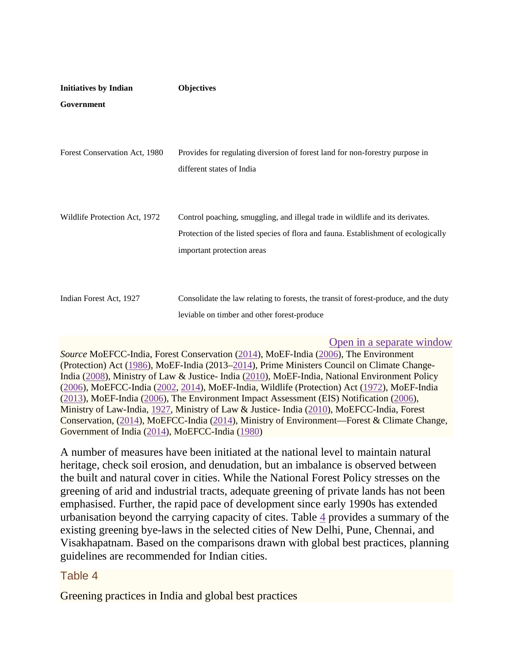| <b>Initiatives by Indian</b>  | <b>Objectives</b>                                                                                         |
|-------------------------------|-----------------------------------------------------------------------------------------------------------|
| Government                    |                                                                                                           |
|                               |                                                                                                           |
| Forest Conservation Act, 1980 | Provides for regulating diversion of forest land for non-forestry purpose in<br>different states of India |
| Wildlife Protection Act, 1972 | Control poaching, smuggling, and illegal trade in wildlife and its derivates.                             |
|                               | Protection of the listed species of flora and fauna. Establishment of ecologically                        |
|                               | important protection areas                                                                                |
|                               |                                                                                                           |
| Indian Forest Act, 1927       | Consolidate the law relating to forests, the transit of forest-produce, and the duty                      |
|                               | leviable on timber and other forest-produce                                                               |
|                               |                                                                                                           |

[Open in a separate window](https://www.ncbi.nlm.nih.gov/pmc/articles/PMC4824703/table/Tab3/?report=objectonly)

*Source* MoEFCC-India, Forest Conservation [\(2014\)](https://www.ncbi.nlm.nih.gov/pmc/articles/PMC4824703/#CR41), MoEF-India [\(2006\)](https://www.ncbi.nlm.nih.gov/pmc/articles/PMC4824703/#CR66), The Environment (Protection) Act [\(1986\)](https://www.ncbi.nlm.nih.gov/pmc/articles/PMC4824703/#CR61), MoEF-India (2013[–2014\)](https://www.ncbi.nlm.nih.gov/pmc/articles/PMC4824703/#CR69), Prime Ministers Council on Climate Change-India [\(2008\)](https://www.ncbi.nlm.nih.gov/pmc/articles/PMC4824703/#CR88), Ministry of Law & Justice- India [\(2010\)](https://www.ncbi.nlm.nih.gov/pmc/articles/PMC4824703/#CR57), MoEF-India, National Environment Policy [\(2006\)](https://www.ncbi.nlm.nih.gov/pmc/articles/PMC4824703/#CR68), MoEFCC-India [\(2002,](https://www.ncbi.nlm.nih.gov/pmc/articles/PMC4824703/#CR64) [2014\)](https://www.ncbi.nlm.nih.gov/pmc/articles/PMC4824703/#CR62), MoEF-India, Wildlife (Protection) Act [\(1972\)](https://www.ncbi.nlm.nih.gov/pmc/articles/PMC4824703/#CR65), MoEF-India [\(2013\)](https://www.ncbi.nlm.nih.gov/pmc/articles/PMC4824703/#CR67), MoEF-India [\(2006\)](https://www.ncbi.nlm.nih.gov/pmc/articles/PMC4824703/#CR66), The Environment Impact Assessment (EIS) Notification [\(2006\)](https://www.ncbi.nlm.nih.gov/pmc/articles/PMC4824703/#CR68), Ministry of Law-India, [1927,](https://www.ncbi.nlm.nih.gov/pmc/articles/PMC4824703/#CR56) Ministry of Law & Justice- India [\(2010\)](https://www.ncbi.nlm.nih.gov/pmc/articles/PMC4824703/#CR57), MoEFCC-India, Forest Conservation, [\(2014\)](https://www.ncbi.nlm.nih.gov/pmc/articles/PMC4824703/#CR67), MoEFCC-India [\(2014\)](https://www.ncbi.nlm.nih.gov/pmc/articles/PMC4824703/#CR120), Ministry of Environment—Forest & Climate Change, Government of India [\(2014\)](https://www.ncbi.nlm.nih.gov/pmc/articles/PMC4824703/#CR54), MoEFCC-India [\(1980\)](https://www.ncbi.nlm.nih.gov/pmc/articles/PMC4824703/#CR63)

A number of measures have been initiated at the national level to maintain natural heritage, check soil erosion, and denudation, but an imbalance is observed between the built and natural cover in cities. While the National Forest Policy stresses on the greening of arid and industrial tracts, adequate greening of private lands has not been emphasised. Further, the rapid pace of development since early 1990s has extended urbanisation beyond the carrying capacity of cites. Table [4](https://www.ncbi.nlm.nih.gov/pmc/articles/PMC4824703/table/Tab4/) provides a summary of the existing greening bye-laws in the selected cities of New Delhi, Pune, Chennai, and Visakhapatnam. Based on the comparisons drawn with global best practices, planning guidelines are recommended for Indian cities.

### Table 4

Greening practices in India and global best practices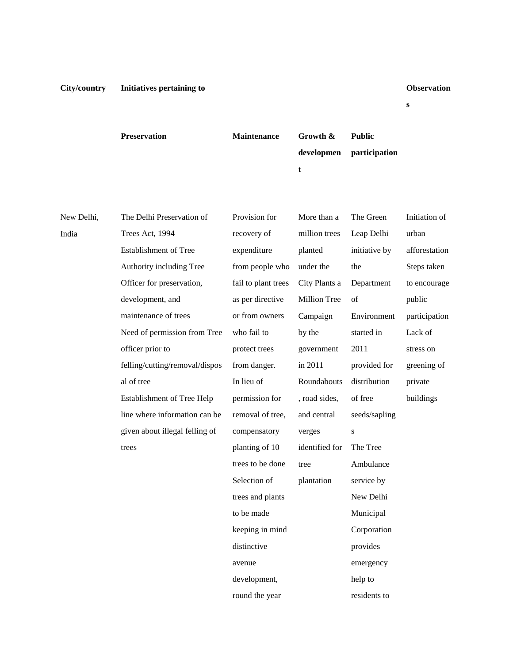**s**

|            | <b>Preservation</b>            | <b>Maintenance</b>  | Growth &<br>developmen | <b>Public</b><br>participation |               |
|------------|--------------------------------|---------------------|------------------------|--------------------------------|---------------|
|            |                                |                     | t                      |                                |               |
|            |                                |                     |                        |                                |               |
| New Delhi, | The Delhi Preservation of      | Provision for       | More than a            | The Green                      | Initiation of |
| India      | Trees Act, 1994                | recovery of         | million trees          | Leap Delhi                     | urban         |
|            | Establishment of Tree          | expenditure         | planted                | initiative by                  | afforestation |
|            | Authority including Tree       | from people who     | under the              | the                            | Steps taken   |
|            | Officer for preservation,      | fail to plant trees | City Plants a          | Department                     | to encourage  |
|            | development, and               | as per directive    | Million Tree           | of                             | public        |
|            | maintenance of trees           | or from owners      | Campaign               | Environment                    | participation |
|            | Need of permission from Tree   | who fail to         | by the                 | started in                     | Lack of       |
|            | officer prior to               | protect trees       | government             | 2011                           | stress on     |
|            | felling/cutting/removal/dispos | from danger.        | in 2011                | provided for                   | greening of   |
|            | al of tree                     | In lieu of          | Roundabouts            | distribution                   | private       |
|            | Establishment of Tree Help     | permission for      | , road sides,          | of free                        | buildings     |
|            | line where information can be  | removal of tree,    | and central            | seeds/sapling                  |               |
|            | given about illegal felling of | compensatory        | verges                 | ${\bf S}$                      |               |
|            | trees                          | planting of 10      | identified for         | The Tree                       |               |
|            |                                | trees to be done    | tree                   | Ambulance                      |               |
|            |                                | Selection of        | plantation             | service by                     |               |
|            |                                | trees and plants    |                        | New Delhi                      |               |
|            |                                | to be made          |                        | Municipal                      |               |
|            |                                | keeping in mind     |                        | Corporation                    |               |
|            |                                | distinctive         |                        | provides                       |               |
|            |                                | avenue              |                        | emergency                      |               |
|            |                                | development,        |                        | help to                        |               |

round the year

residents to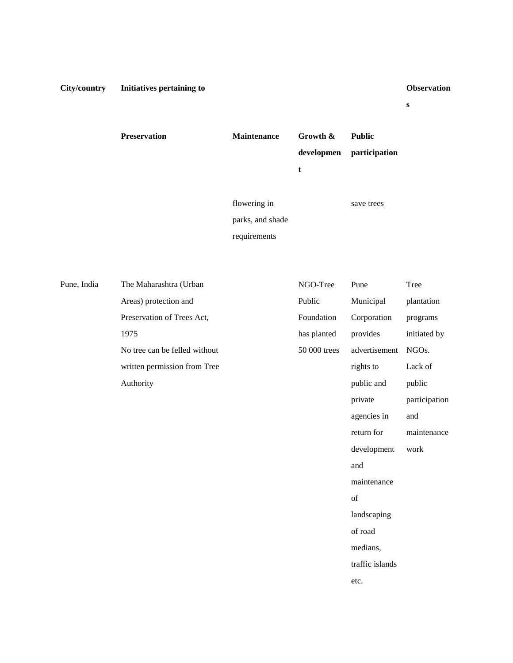**s**

**Preservation Maintenance Growth & developmen t Public participation** flowering in

parks, and shade requirements

save trees

Pune, India The Maharashtra (Urban Areas) protection and Preservation of Trees Act, 1975 No tree can be felled without written permission from Tree Authority

| NGO-Tree     | Pune            | Tree              |
|--------------|-----------------|-------------------|
| Public       | Municipal       | plantation        |
| Foundation   | Corporation     | programs          |
| has planted  | provides        | initiated by      |
| 50 000 trees | advertisement   | NGO <sub>s.</sub> |
|              | rights to       | Lack of           |
|              | public and      | public            |
|              | private         | participation     |
|              | agencies in     | and               |
|              | return for      | maintenance       |
|              | development     | work              |
|              | and             |                   |
|              | maintenance     |                   |
|              | of              |                   |
|              | landscaping     |                   |
|              | of road         |                   |
|              | medians,        |                   |
|              | traffic islands |                   |
|              | etc.            |                   |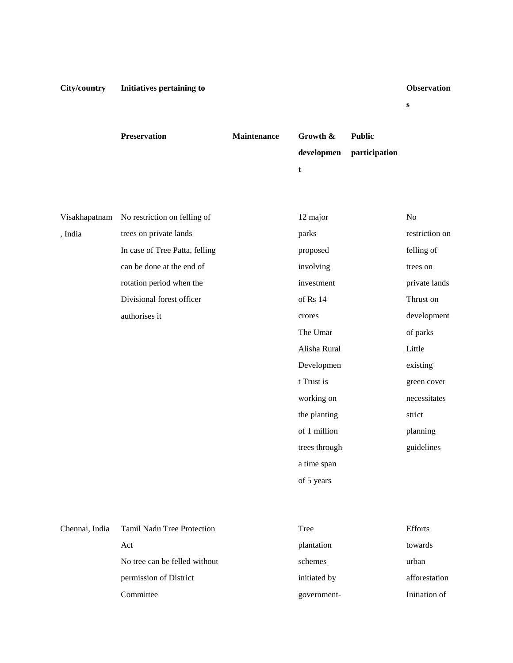**s**

|         | <b>Preservation</b>                        | <b>Maintenance</b> | Growth &<br>developmen<br>t | <b>Public</b><br>participation |                |
|---------|--------------------------------------------|--------------------|-----------------------------|--------------------------------|----------------|
|         | Visakhapatnam No restriction on felling of |                    | 12 major                    |                                | No             |
| , India | trees on private lands                     |                    | parks                       |                                | restriction on |
|         | In case of Tree Patta, felling             |                    | proposed                    |                                | felling of     |
|         | can be done at the end of                  |                    | involving                   |                                | trees on       |
|         | rotation period when the                   |                    | investment                  |                                | private lands  |
|         | Divisional forest officer                  |                    | of Rs 14                    |                                | Thrust on      |
|         | authorises it                              |                    | crores                      |                                | development    |
|         |                                            |                    | The Umar                    |                                | of parks       |
|         |                                            |                    | Alisha Rural                |                                | Little         |
|         |                                            |                    | Developmen                  |                                | existing       |
|         |                                            |                    | t Trust is                  |                                | green cover    |
|         |                                            |                    | working on                  |                                | necessitates   |
|         |                                            |                    | the planting                |                                | strict         |
|         |                                            |                    | of 1 million                |                                | planning       |
|         |                                            |                    | trees through               |                                | guidelines     |
|         |                                            |                    | a time span                 |                                |                |
|         |                                            |                    | of 5 years                  |                                |                |
|         |                                            |                    |                             |                                |                |
|         |                                            |                    |                             |                                |                |

| Chennai, India Tamil Nadu Tree Protection | Tree         | <b>Efforts</b> |
|-------------------------------------------|--------------|----------------|
| Act                                       | plantation   | towards        |
| No tree can be felled without             | schemes      | urban          |
| permission of District                    | initiated by | afforestation  |
| Committee                                 | government-  | Initiation of  |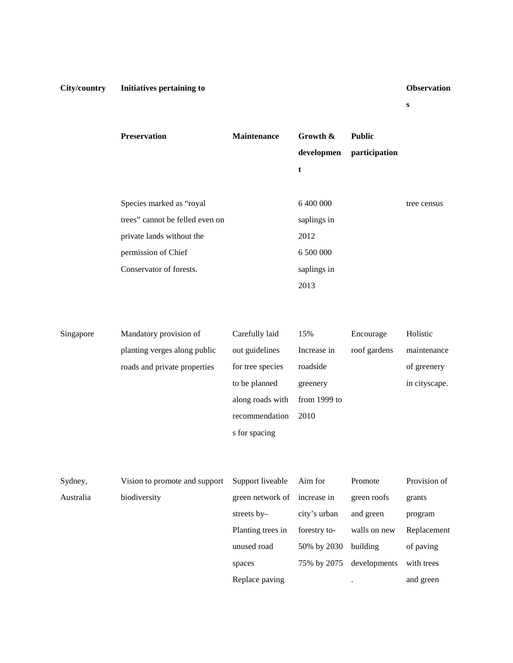and green

**s**

|           | Preservation                    | Maintenance                  | Growth &     | <b>Public</b> |               |
|-----------|---------------------------------|------------------------------|--------------|---------------|---------------|
|           |                                 |                              | developmen   | participation |               |
|           |                                 |                              | t            |               |               |
|           |                                 |                              |              |               |               |
|           | Species marked as "royal        |                              | 6 400 000    |               | tree census   |
|           | trees" cannot be felled even on |                              | saplings in  |               |               |
|           | private lands without the       |                              | 2012         |               |               |
|           | permission of Chief             |                              | 6 500 000    |               |               |
|           | Conservator of forests.         |                              | saplings in  |               |               |
|           |                                 |                              | 2013         |               |               |
|           |                                 |                              |              |               |               |
|           |                                 |                              |              |               |               |
| Singapore | Mandatory provision of          | Carefully laid               | 15%          | Encourage     | Holistic      |
|           | planting verges along public    | out guidelines               | Increase in  | roof gardens  | maintenance   |
|           | roads and private properties    | for tree species             | roadside     |               | of greenery   |
|           |                                 | to be planned                | greenery     |               | in cityscape. |
|           |                                 | along roads with             | from 1999 to |               |               |
|           |                                 | recommendation               | 2010         |               |               |
|           |                                 | s for spacing                |              |               |               |
|           |                                 |                              |              |               |               |
|           |                                 |                              |              |               |               |
| Sydney,   | Vision to promote and support   | Support liveable             | Aim for      | Promote       | Provision of  |
| Australia | biodiversity                    | green network of increase in |              | green roofs   | grants        |
|           |                                 | streets by-                  | city's urban | and green     | program       |
|           |                                 | Planting trees in            | forestry to- | walls on new  | Replacement   |
|           |                                 | unused road                  | 50% by 2030  | building      | of paving     |
|           |                                 | spaces                       | 75% by 2075  | developments  | with trees    |

Replace paving .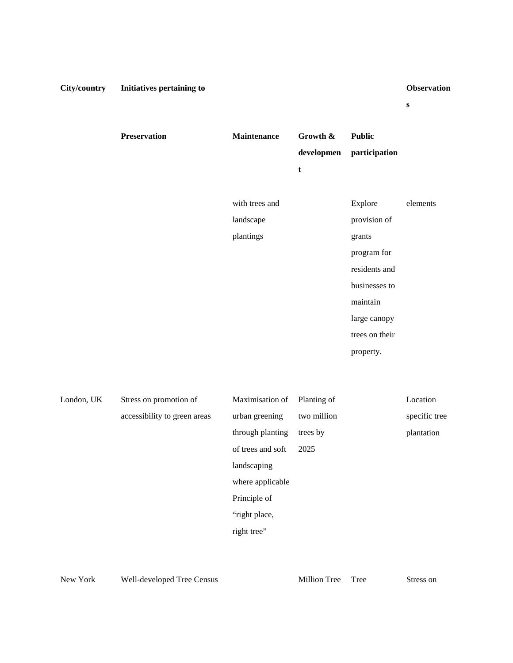**s**

| <b>Preservation</b> | <b>Maintenance</b> | Growth &    | <b>Public</b>  |          |
|---------------------|--------------------|-------------|----------------|----------|
|                     |                    | developmen  | participation  |          |
|                     |                    | $\mathbf t$ |                |          |
|                     |                    |             |                |          |
|                     | with trees and     |             | Explore        | elements |
|                     | landscape          |             | provision of   |          |
|                     | plantings          |             | grants         |          |
|                     |                    |             | program for    |          |
|                     |                    |             | residents and  |          |
|                     |                    |             | businesses to  |          |
|                     |                    |             | maintain       |          |
|                     |                    |             | large canopy   |          |
|                     |                    |             | trees on their |          |
|                     |                    |             | property.      |          |

| London, UK | Stress on promotion of       | Maximisation of   | Planting of | Location      |
|------------|------------------------------|-------------------|-------------|---------------|
|            | accessibility to green areas | urban greening    | two million | specific tree |
|            |                              | through planting  | trees by    | plantation    |
|            |                              | of trees and soft | 2025        |               |
|            |                              | landscaping       |             |               |
|            |                              | where applicable  |             |               |
|            |                              | Principle of      |             |               |
|            |                              | "right place,     |             |               |
|            |                              | right tree"       |             |               |
|            |                              |                   |             |               |

New York Well-developed Tree Census Million Tree Tree Stress on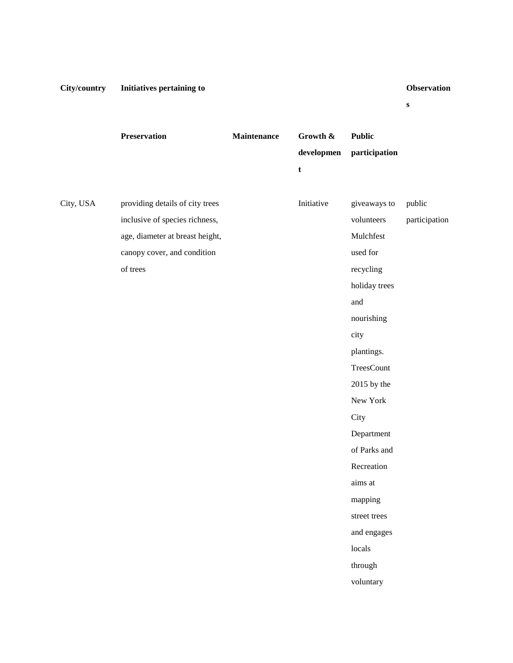**s**

|           | Preservation                    | Maintenance | Growth &    | <b>Public</b> |               |
|-----------|---------------------------------|-------------|-------------|---------------|---------------|
|           |                                 |             | developmen  | participation |               |
|           |                                 |             | $\mathbf t$ |               |               |
|           |                                 |             |             |               |               |
| City, USA | providing details of city trees |             | Initiative  | giveaways to  | public        |
|           | inclusive of species richness,  |             |             | volunteers    | participation |
|           | age, diameter at breast height, |             |             | Mulchfest     |               |
|           | canopy cover, and condition     |             |             | used for      |               |
|           | of trees                        |             |             | recycling     |               |
|           |                                 |             |             | holiday trees |               |
|           |                                 |             |             | and           |               |
|           |                                 |             |             | nourishing    |               |
|           |                                 |             |             | city          |               |
|           |                                 |             |             | plantings.    |               |
|           |                                 |             |             | TreesCount    |               |
|           |                                 |             |             | 2015 by the   |               |
|           |                                 |             |             | New York      |               |
|           |                                 |             |             | City          |               |
|           |                                 |             |             | Department    |               |
|           |                                 |             |             | of Parks and  |               |
|           |                                 |             |             | Recreation    |               |
|           |                                 |             |             | aims at       |               |
|           |                                 |             |             | mapping       |               |
|           |                                 |             |             | street trees  |               |
|           |                                 |             |             | and engages   |               |
|           |                                 |             |             | locals        |               |
|           |                                 |             |             | through       |               |
|           |                                 |             |             | voluntary     |               |
|           |                                 |             |             |               |               |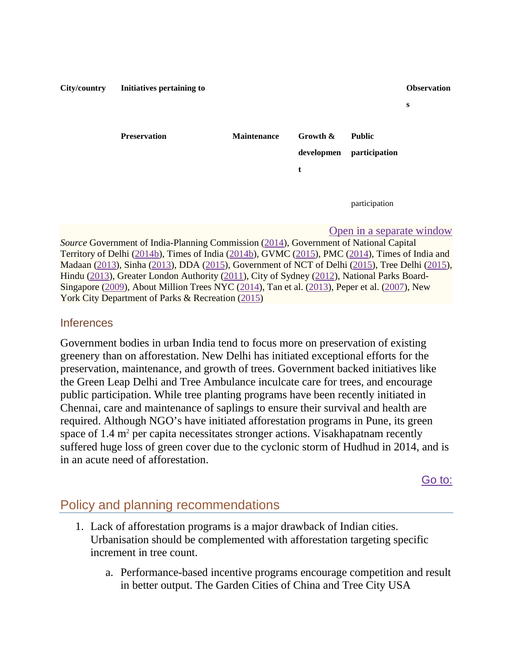# **City/country Initiatives pertaining to Observation s Preservation Maintenance Growth & developmen t Public participation** participation

### [Open in a separate window](https://www.ncbi.nlm.nih.gov/pmc/articles/PMC4824703/table/Tab4/?report=objectonly)

*Source* Government of India-Planning Commission [\(2014\)](https://www.ncbi.nlm.nih.gov/pmc/articles/PMC4824703/#CR31), Government of National Capital Territory of Delhi [\(2014b\)](https://www.ncbi.nlm.nih.gov/pmc/articles/PMC4824703/#CR33), Times of India [\(2014b\)](https://www.ncbi.nlm.nih.gov/pmc/articles/PMC4824703/#CR110), GVMC [\(2015\)](https://www.ncbi.nlm.nih.gov/pmc/articles/PMC4824703/#CR36), PMC [\(2014\)](https://www.ncbi.nlm.nih.gov/pmc/articles/PMC4824703/#CR86), Times of India and Madaan [\(2013\)](https://www.ncbi.nlm.nih.gov/pmc/articles/PMC4824703/#CR111), Sinha [\(2013\)](https://www.ncbi.nlm.nih.gov/pmc/articles/PMC4824703/#CR99), DDA [\(2015\)](https://www.ncbi.nlm.nih.gov/pmc/articles/PMC4824703/#CR18), Government of NCT of Delhi [\(2015\)](https://www.ncbi.nlm.nih.gov/pmc/articles/PMC4824703/#CR34), Tree Delhi [\(2015\)](https://www.ncbi.nlm.nih.gov/pmc/articles/PMC4824703/#CR112), Hindu [\(2013\)](https://www.ncbi.nlm.nih.gov/pmc/articles/PMC4824703/#CR40), Greater London Authority [\(2011\)](https://www.ncbi.nlm.nih.gov/pmc/articles/PMC4824703/#CR35), City of Sydney [\(2012\)](https://www.ncbi.nlm.nih.gov/pmc/articles/PMC4824703/#CR15), National Parks Board-Singapore [\(2009\)](https://www.ncbi.nlm.nih.gov/pmc/articles/PMC4824703/#CR72), About Million Trees NYC [\(2014\)](https://www.ncbi.nlm.nih.gov/pmc/articles/PMC4824703/#CR74), Tan et al. [\(2013\)](https://www.ncbi.nlm.nih.gov/pmc/articles/PMC4824703/#CR107), Peper et al. [\(2007\)](https://www.ncbi.nlm.nih.gov/pmc/articles/PMC4824703/#CR84), New York City Department of Parks & Recreation [\(2015\)](https://www.ncbi.nlm.nih.gov/pmc/articles/PMC4824703/#CR75)

### **Inferences**

Government bodies in urban India tend to focus more on preservation of existing greenery than on afforestation. New Delhi has initiated exceptional efforts for the preservation, maintenance, and growth of trees. Government backed initiatives like the Green Leap Delhi and Tree Ambulance inculcate care for trees, and encourage public participation. While tree planting programs have been recently initiated in Chennai, care and maintenance of saplings to ensure their survival and health are required. Although NGO's have initiated afforestation programs in Pune, its green space of  $1.4$  m<sup>2</sup> per capita necessitates stronger actions. Visakhapatnam recently suffered huge loss of green cover due to the cyclonic storm of Hudhud in 2014, and is in an acute need of afforestation.

[Go to:](https://www.ncbi.nlm.nih.gov/pmc/articles/PMC4824703/)

## Policy and planning recommendations

- 1. Lack of afforestation programs is a major drawback of Indian cities. Urbanisation should be complemented with afforestation targeting specific increment in tree count.
	- a. Performance-based incentive programs encourage competition and result in better output. The Garden Cities of China and Tree City USA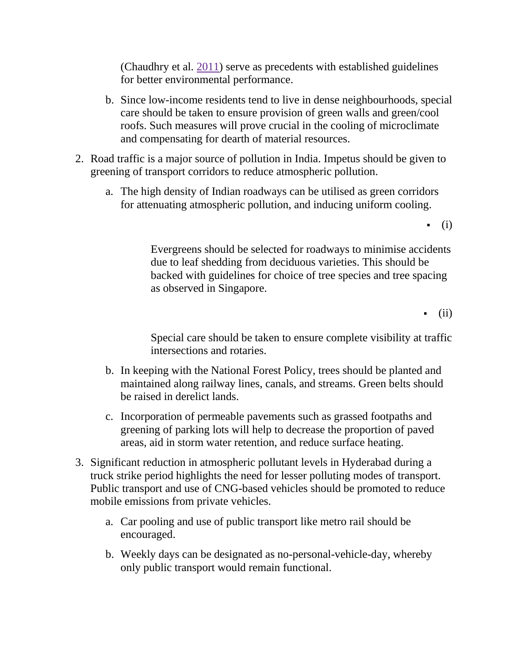(Chaudhry et al. [2011\)](https://www.ncbi.nlm.nih.gov/pmc/articles/PMC4824703/#CR11) serve as precedents with established guidelines for better environmental performance.

- b. Since low-income residents tend to live in dense neighbourhoods, special care should be taken to ensure provision of green walls and green/cool roofs. Such measures will prove crucial in the cooling of microclimate and compensating for dearth of material resources.
- 2. Road traffic is a major source of pollution in India. Impetus should be given to greening of transport corridors to reduce atmospheric pollution.
	- a. The high density of Indian roadways can be utilised as green corridors for attenuating atmospheric pollution, and inducing uniform cooling.

 $\bullet$  (i)

Evergreens should be selected for roadways to minimise accidents due to leaf shedding from deciduous varieties. This should be backed with guidelines for choice of tree species and tree spacing as observed in Singapore.

(ii)

Special care should be taken to ensure complete visibility at traffic intersections and rotaries.

- b. In keeping with the National Forest Policy, trees should be planted and maintained along railway lines, canals, and streams. Green belts should be raised in derelict lands.
- c. Incorporation of permeable pavements such as grassed footpaths and greening of parking lots will help to decrease the proportion of paved areas, aid in storm water retention, and reduce surface heating.
- 3. Significant reduction in atmospheric pollutant levels in Hyderabad during a truck strike period highlights the need for lesser polluting modes of transport. Public transport and use of CNG-based vehicles should be promoted to reduce mobile emissions from private vehicles.
	- a. Car pooling and use of public transport like metro rail should be encouraged.
	- b. Weekly days can be designated as no-personal-vehicle-day, whereby only public transport would remain functional.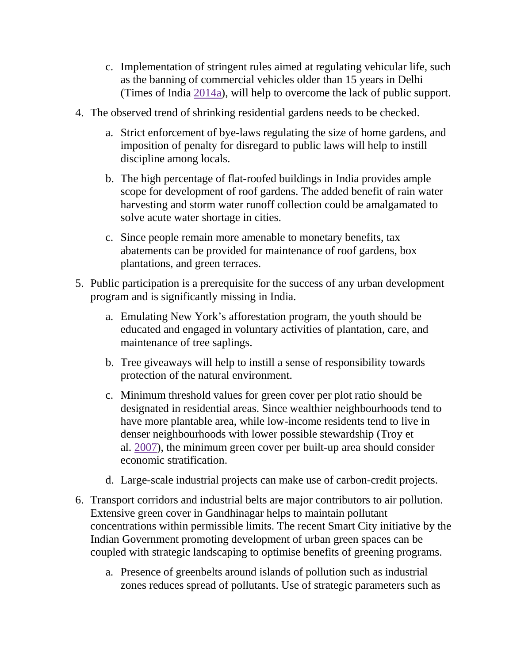- c. Implementation of stringent rules aimed at regulating vehicular life, such as the banning of commercial vehicles older than 15 years in Delhi (Times of India [2014a\)](https://www.ncbi.nlm.nih.gov/pmc/articles/PMC4824703/#CR109), will help to overcome the lack of public support.
- 4. The observed trend of shrinking residential gardens needs to be checked.
	- a. Strict enforcement of bye-laws regulating the size of home gardens, and imposition of penalty for disregard to public laws will help to instill discipline among locals.
	- b. The high percentage of flat-roofed buildings in India provides ample scope for development of roof gardens. The added benefit of rain water harvesting and storm water runoff collection could be amalgamated to solve acute water shortage in cities.
	- c. Since people remain more amenable to monetary benefits, tax abatements can be provided for maintenance of roof gardens, box plantations, and green terraces.
- 5. Public participation is a prerequisite for the success of any urban development program and is significantly missing in India.
	- a. Emulating New York's afforestation program, the youth should be educated and engaged in voluntary activities of plantation, care, and maintenance of tree saplings.
	- b. Tree giveaways will help to instill a sense of responsibility towards protection of the natural environment.
	- c. Minimum threshold values for green cover per plot ratio should be designated in residential areas. Since wealthier neighbourhoods tend to have more plantable area, while low-income residents tend to live in denser neighbourhoods with lower possible stewardship (Troy et al. [2007\)](https://www.ncbi.nlm.nih.gov/pmc/articles/PMC4824703/#CR113), the minimum green cover per built-up area should consider economic stratification.
	- d. Large-scale industrial projects can make use of carbon-credit projects.
- 6. Transport corridors and industrial belts are major contributors to air pollution. Extensive green cover in Gandhinagar helps to maintain pollutant concentrations within permissible limits. The recent Smart City initiative by the Indian Government promoting development of urban green spaces can be coupled with strategic landscaping to optimise benefits of greening programs.
	- a. Presence of greenbelts around islands of pollution such as industrial zones reduces spread of pollutants. Use of strategic parameters such as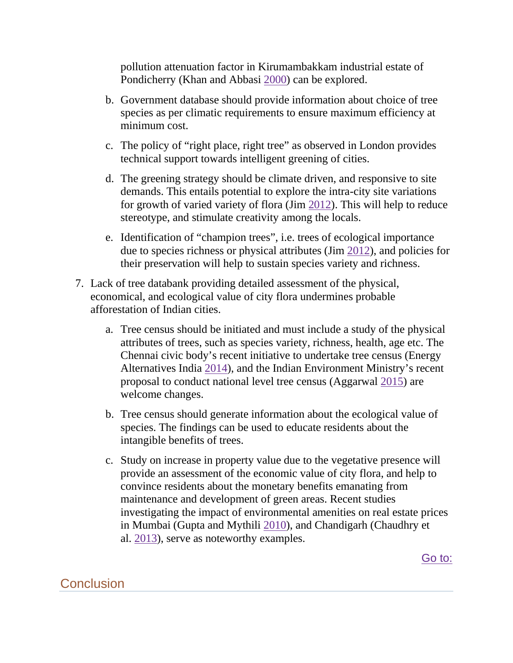pollution attenuation factor in Kirumambakkam industrial estate of Pondicherry (Khan and Abbasi [2000\)](https://www.ncbi.nlm.nih.gov/pmc/articles/PMC4824703/#CR47) can be explored.

- b. Government database should provide information about choice of tree species as per climatic requirements to ensure maximum efficiency at minimum cost.
- c. The policy of "right place, right tree" as observed in London provides technical support towards intelligent greening of cities.
- d. The greening strategy should be climate driven, and responsive to site demands. This entails potential to explore the intra-city site variations for growth of varied variety of flora (Jim [2012\)](https://www.ncbi.nlm.nih.gov/pmc/articles/PMC4824703/#CR46). This will help to reduce stereotype, and stimulate creativity among the locals.
- e. Identification of "champion trees", i.e. trees of ecological importance due to species richness or physical attributes (Jim [2012\)](https://www.ncbi.nlm.nih.gov/pmc/articles/PMC4824703/#CR46), and policies for their preservation will help to sustain species variety and richness.
- 7. Lack of tree databank providing detailed assessment of the physical, economical, and ecological value of city flora undermines probable afforestation of Indian cities.
	- a. Tree census should be initiated and must include a study of the physical attributes of trees, such as species variety, richness, health, age etc. The Chennai civic body's recent initiative to undertake tree census (Energy Alternatives India [2014\)](https://www.ncbi.nlm.nih.gov/pmc/articles/PMC4824703/#CR24), and the Indian Environment Ministry's recent proposal to conduct national level tree census (Aggarwal [2015\)](https://www.ncbi.nlm.nih.gov/pmc/articles/PMC4824703/#CR1) are welcome changes.
	- b. Tree census should generate information about the ecological value of species. The findings can be used to educate residents about the intangible benefits of trees.
	- c. Study on increase in property value due to the vegetative presence will provide an assessment of the economic value of city flora, and help to convince residents about the monetary benefits emanating from maintenance and development of green areas. Recent studies investigating the impact of environmental amenities on real estate prices in Mumbai (Gupta and Mythili [2010\)](https://www.ncbi.nlm.nih.gov/pmc/articles/PMC4824703/#CR37), and Chandigarh (Chaudhry et al. [2013\)](https://www.ncbi.nlm.nih.gov/pmc/articles/PMC4824703/#CR12), serve as noteworthy examples.

[Go to:](https://www.ncbi.nlm.nih.gov/pmc/articles/PMC4824703/)

## **Conclusion**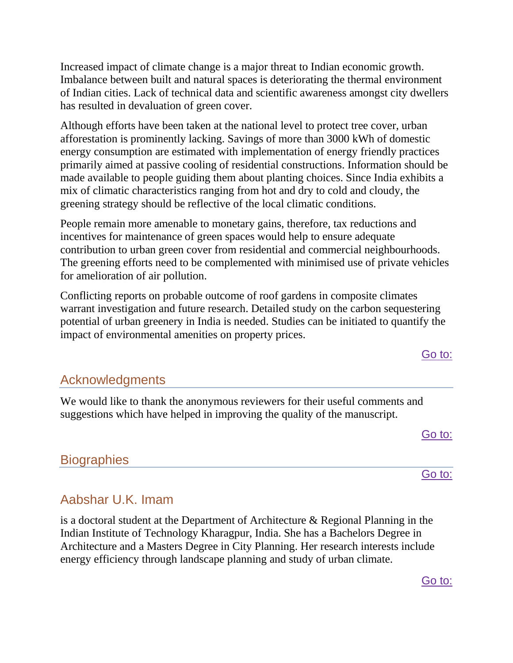Increased impact of climate change is a major threat to Indian economic growth. Imbalance between built and natural spaces is deteriorating the thermal environment of Indian cities. Lack of technical data and scientific awareness amongst city dwellers has resulted in devaluation of green cover.

Although efforts have been taken at the national level to protect tree cover, urban afforestation is prominently lacking. Savings of more than 3000 kWh of domestic energy consumption are estimated with implementation of energy friendly practices primarily aimed at passive cooling of residential constructions. Information should be made available to people guiding them about planting choices. Since India exhibits a mix of climatic characteristics ranging from hot and dry to cold and cloudy, the greening strategy should be reflective of the local climatic conditions.

People remain more amenable to monetary gains, therefore, tax reductions and incentives for maintenance of green spaces would help to ensure adequate contribution to urban green cover from residential and commercial neighbourhoods. The greening efforts need to be complemented with minimised use of private vehicles for amelioration of air pollution.

Conflicting reports on probable outcome of roof gardens in composite climates warrant investigation and future research. Detailed study on the carbon sequestering potential of urban greenery in India is needed. Studies can be initiated to quantify the impact of environmental amenities on property prices.

## Acknowledgments

We would like to thank the anonymous reviewers for their useful comments and suggestions which have helped in improving the quality of the manuscript.

[Go to:](https://www.ncbi.nlm.nih.gov/pmc/articles/PMC4824703/)

[Go to:](https://www.ncbi.nlm.nih.gov/pmc/articles/PMC4824703/)

[Go](https://www.ncbi.nlm.nih.gov/pmc/articles/PMC4824703/) to:

## **Biographies**

# Aabshar U.K. Imam

is a doctoral student at the Department of Architecture & Regional Planning in the Indian Institute of Technology Kharagpur, India. She has a Bachelors Degree in Architecture and a Masters Degree in City Planning. Her research interests include energy efficiency through landscape planning and study of urban climate.

### [Go to:](https://www.ncbi.nlm.nih.gov/pmc/articles/PMC4824703/)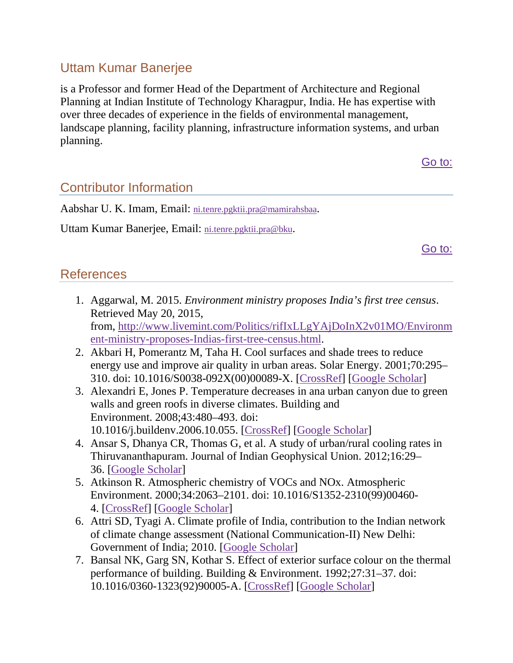# Uttam Kumar Banerjee

is a Professor and former Head of the Department of Architecture and Regional Planning at Indian Institute of Technology Kharagpur, India. He has expertise with over three decades of experience in the fields of environmental management, landscape planning, facility planning, infrastructure information systems, and urban planning.

[Go to:](https://www.ncbi.nlm.nih.gov/pmc/articles/PMC4824703/)

# Contributor Information

Aabshar U. K. Imam, Email: [ni.tenre.pgktii.pra@mamirahsbaa.](mailto:dev@null)

Uttam Kumar Banerjee, Email: [ni.tenre.pgktii.pra@bku.](mailto:dev@null)

[Go to:](https://www.ncbi.nlm.nih.gov/pmc/articles/PMC4824703/)

## **References**

- 1. Aggarwal, M. 2015. *Environment ministry proposes India's first tree census*. Retrieved May 20, 2015, from, [http://www.livemint.com/Politics/rifIxLLgYAjDoInX2v01MO/Environm](http://www.livemint.com/Politics/rifIxLLgYAjDoInX2v01MO/Environment-ministry-proposes-Indias-first-tree-census.html) [ent-ministry-proposes-Indias-first-tree-census.html.](http://www.livemint.com/Politics/rifIxLLgYAjDoInX2v01MO/Environment-ministry-proposes-Indias-first-tree-census.html)
- 2. Akbari H, Pomerantz M, Taha H. Cool surfaces and shade trees to reduce energy use and improve air quality in urban areas. Solar Energy. 2001;70:295– 310. doi: 10.1016/S0038-092X(00)00089-X. [\[CrossRef\]](https://dx.doi.org/10.1016%2FS0038-092X(00)00089-X) [\[Google Scholar\]](https://scholar.google.com/scholar_lookup?journal=Solar+Energy.&title=Cool+surfaces+and+shade+trees+to+reduce+energy+use+and+improve+air+quality+in+urban+areas&author=H+Akbari&author=M+Pomerantz&author=H+Taha&volume=70&publication_year=2001&pages=295-310&doi=10.1016/S0038-092X(00)00089-X&)
- 3. Alexandri E, Jones P. Temperature decreases in ana urban canyon due to green walls and green roofs in diverse climates. Building and Environment. 2008;43:480–493. doi: 10.1016/j.buildenv.2006.10.055. [\[CrossRef\]](https://dx.doi.org/10.1016%2Fj.buildenv.2006.10.055) [\[Google Scholar\]](https://scholar.google.com/scholar_lookup?journal=Building+and+Environment.&title=Temperature+decreases+in+ana+urban+canyon+due+to+green+walls+and+green+roofs+in+diverse+climates&author=E+Alexandri&author=P+Jones&volume=43&publication_year=2008&pages=480-493&doi=10.1016/j.buildenv.2006.10.055&)
- 4. Ansar S, Dhanya CR, Thomas G, et al. A study of urban/rural cooling rates in Thiruvananthapuram. Journal of Indian Geophysical Union. 2012;16:29– 36. [\[Google Scholar\]](https://scholar.google.com/scholar_lookup?journal=Journal+of+Indian+Geophysical+Union.&title=A+study+of+urban/rural+cooling+rates+in+Thiruvananthapuram&author=S+Ansar&author=CR+Dhanya&author=G+Thomas&volume=16&publication_year=2012&pages=29-36&)
- 5. Atkinson R. Atmospheric chemistry of VOCs and NOx. Atmospheric Environment. 2000;34:2063–2101. doi: 10.1016/S1352-2310(99)00460- 4. [\[CrossRef\]](https://dx.doi.org/10.1016%2FS1352-2310(99)00460-4) [\[Google Scholar\]](https://scholar.google.com/scholar_lookup?journal=Atmospheric+Environment&title=Atmospheric+chemistry+of+VOCs+and+NOx&author=R+Atkinson&volume=34&publication_year=2000&pages=2063-2101&doi=10.1016/S1352-2310(99)00460-4&)
- 6. Attri SD, Tyagi A. Climate profile of India, contribution to the Indian network of climate change assessment (National Communication-II) New Delhi: Government of India; 2010. [\[Google Scholar\]](https://scholar.google.com/scholar_lookup?title=Climate+profile+of+India,+contribution+to+the+Indian+network+of+climate+change+assessment+(National+Communication-II)&author=SD+Attri&author=A+Tyagi&publication_year=2010&)
- 7. Bansal NK, Garg SN, Kothar S. Effect of exterior surface colour on the thermal performance of building. Building & Environment. 1992;27:31–37. doi: 10.1016/0360-1323(92)90005-A. [\[CrossRef\]](https://dx.doi.org/10.1016%2F0360-1323(92)90005-A) [\[Google Scholar\]](https://scholar.google.com/scholar_lookup?journal=Building+&+Environment.&title=Effect+of+exterior+surface+colour+on+the+thermal+performance+of+building&author=NK+Bansal&author=SN+Garg&author=S+Kothar&volume=27&publication_year=1992&pages=31-37&doi=10.1016/0360-1323(92)90005-A&)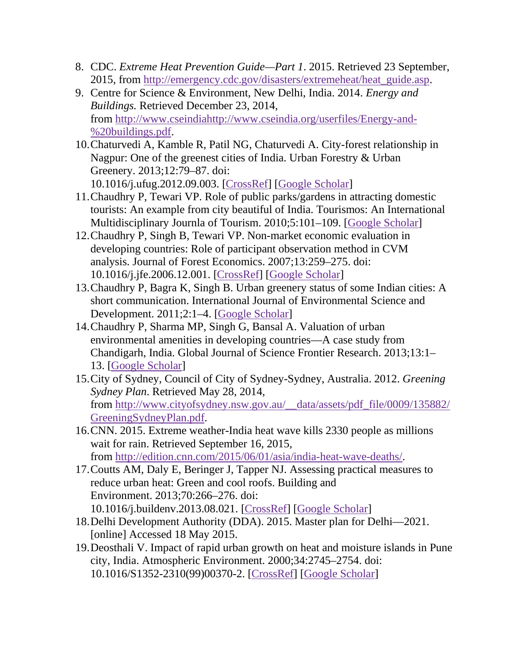- 8. CDC. *Extreme Heat Prevention Guide—Part 1*. 2015. Retrieved 23 September, 2015, from [http://emergency.cdc.gov/disasters/extremeheat/heat\\_guide.asp.](http://emergency.cdc.gov/disasters/extremeheat/heat_guide.asp)
- 9. Centre for Science & Environment, New Delhi, India. 2014. *Energy and Buildings.* Retrieved December 23, 2014, from [http://www.cseindiahttp://www.cseindia.org/userfiles/Energy-and-](http://www.cseindia/) %20buildings.pdf.
- 10.Chaturvedi A, Kamble R, Patil NG, Chaturvedi A. City-forest relationship in Nagpur: One of the greenest cities of India. Urban Forestry & Urban Greenery. 2013;12:79–87. doi: 10.1016/j.ufug.2012.09.003. [ [CrossRef\]](https://dx.doi.org/10.1016%2Fj.ufug.2012.09.003) [\[Google Scholar\]](https://scholar.google.com/scholar_lookup?journal=Urban+Forestry+&+Urban+Greenery.&title=City-forest+relationship+in+Nagpur:+One+of+the+greenest+cities+of+India&author=A+Chaturvedi&author=R+Kamble&author=NG+Patil&author=A+Chaturvedi&volume=12&publication_year=2013&pages=79-87&doi=10.1016/j.ufug.2012.09.003&)
- 11.Chaudhry P, Tewari VP. Role of public parks/gardens in attracting domestic tourists: An example from city beautiful of India. Tourismos: An International Multidisciplinary Journla of Tourism. 2010;5:101–109. [\[Google Scholar\]](https://scholar.google.com/scholar_lookup?journal=Tourismos:+An+International+Multidisciplinary+Journla+of+Tourism&title=Role+of+public+parks/gardens+in+attracting+domestic+tourists:+An+example+from+city+beautiful+of+India&author=P+Chaudhry&author=VP+Tewari&volume=5&publication_year=2010&pages=101-109&)
- 12.Chaudhry P, Singh B, Tewari VP. Non-market economic evaluation in developing countries: Role of participant observation method in CVM analysis. Journal of Forest Economics. 2007;13:259–275. doi: 10.1016/j.jfe.2006.12.001. [\[CrossRef\]](https://dx.doi.org/10.1016%2Fj.jfe.2006.12.001) [\[Google Scholar\]](https://scholar.google.com/scholar_lookup?journal=Journal+of+Forest+Economics.&title=Non-market+economic+evaluation+in+developing+countries:+Role+of+participant+observation+method+in+CVM+analysis&author=P+Chaudhry&author=B+Singh&author=VP+Tewari&volume=13&publication_year=2007&pages=259-275&doi=10.1016/j.jfe.2006.12.001&)
- 13.Chaudhry P, Bagra K, Singh B. Urban greenery status of some Indian cities: A short communication. International Journal of Environmental Science and Development. 2011;2:1–4. [\[Google Scholar\]](https://scholar.google.com/scholar_lookup?journal=International+Journal+of+Environmental+Science+and+Development.&title=Urban+greenery+status+of+some+Indian+cities:+A+short+communication&author=P+Chaudhry&author=K+Bagra&author=B+Singh&volume=2&publication_year=2011&pages=1-4&)
- 14.Chaudhry P, Sharma MP, Singh G, Bansal A. Valuation of urban environmental amenities in developing countries—A case study from Chandigarh, India. Global Journal of Science Frontier Research. 2013;13:1– 13. [\[Google Scholar\]](https://scholar.google.com/scholar_lookup?journal=Global+Journal+of+Science+Frontier+Research&title=Valuation+of+urban+environmental+amenities+in+developing+countries%E2%80%94A+case+study+from+Chandigarh,+India&author=P+Chaudhry&author=MP+Sharma&author=G+Singh&author=A+Bansal&volume=13&publication_year=2013&pages=1-13&)
- 15.City of Sydney, Council of City of Sydney-Sydney, Australia. 2012. *Greening Sydney Plan*. Retrieved May 28, 2014, from [http://www.cityofsydney.nsw.gov.au/\\_\\_data/assets/pdf\\_file/0009/135882/](http://www.cityofsydney.nsw.gov.au/__data/assets/pdf_file/0009/135882/GreeningSydneyPlan.pdf) [GreeningSydneyPlan.pdf.](http://www.cityofsydney.nsw.gov.au/__data/assets/pdf_file/0009/135882/GreeningSydneyPlan.pdf)
- 16.CNN. 2015. Extreme weather-India heat wave kills 2330 people as millions wait for rain. Retrieved September 16, 2015, from [http://edition.cnn.com/2015/06/01/asia/india-heat-wave-deaths/.](http://edition.cnn.com/2015/06/01/asia/india-heat-wave-deaths/)
- 17.Coutts AM, Daly E, Beringer J, Tapper NJ. Assessing practical measures to reduce urban heat: Green and cool roofs. Building and Environment. 2013;70:266–276. doi: 10.1016/j.buildenv.2013.08.021. [\[CrossRef\]](https://dx.doi.org/10.1016%2Fj.buildenv.2013.08.021) [\[Google Scholar\]](https://scholar.google.com/scholar_lookup?journal=Building+and+Environment.&title=Assessing+practical+measures+to+reduce+urban+heat:+Green+and+cool+roofs&author=AM+Coutts&author=E+Daly&author=J+Beringer&author=NJ+Tapper&volume=70&publication_year=2013&pages=266-276&doi=10.1016/j.buildenv.2013.08.021&)
- 18.Delhi Development Authority (DDA). 2015. Master plan for Delhi—2021. [online] Accessed 18 May 2015.
- 19.Deosthali V. Impact of rapid urban growth on heat and moisture islands in Pune city, India. Atmospheric Environment. 2000;34:2745–2754. doi: 10.1016/S1352-2310(99)00370-2. [\[CrossRef\]](https://dx.doi.org/10.1016%2FS1352-2310(99)00370-2) [\[Google Scholar\]](https://scholar.google.com/scholar_lookup?journal=Atmospheric+Environment.&title=Impact+of+rapid+urban+growth+on+heat+and+moisture+islands+in+Pune+city,+India&author=V+Deosthali&volume=34&publication_year=2000&pages=2745-2754&doi=10.1016/S1352-2310(99)00370-2&)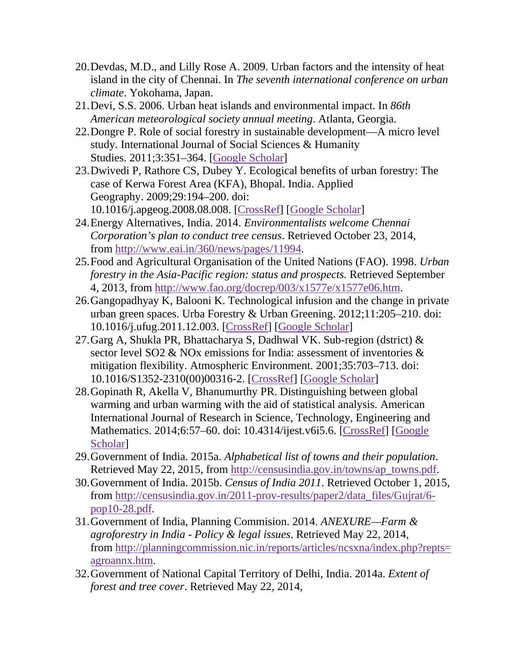- 20.Devdas, M.D., and Lilly Rose A. 2009. Urban factors and the intensity of heat island in the city of Chennai. In *The seventh international conference on urban climate*. Yokohama, Japan.
- 21.Devi, S.S. 2006. Urban heat islands and environmental impact. In *86th American meteorological society annual meeting*. Atlanta, Georgia.
- 22.Dongre P. Role of social forestry in sustainable development—A micro level study. International Journal of Social Sciences & Humanity Studies. 2011;3:351–364. [\[Google Scholar\]](https://scholar.google.com/scholar_lookup?journal=International+Journal+of+Social+Sciences+&+Humanity+Studies.&title=Role+of+social+forestry+in+sustainable+development%E2%80%94A+micro+level+study&author=P+Dongre&volume=3&publication_year=2011&pages=351-364&)
- 23.Dwivedi P, Rathore CS, Dubey Y. Ecological benefits of urban forestry: The case of Kerwa Forest Area (KFA), Bhopal. India. Applied Geography. 2009;29:194–200. doi: 10.1016/j.apgeog.2008.08.008. [\[CrossRef\]](https://dx.doi.org/10.1016%2Fj.apgeog.2008.08.008) [\[Google Scholar\]](https://scholar.google.com/scholar_lookup?journal=India.+Applied+Geography.&title=Ecological+benefits+of+urban+forestry:+The+case+of+Kerwa+Forest+Area+(KFA),+Bhopal&author=P+Dwivedi&author=CS+Rathore&author=Y+Dubey&volume=29&publication_year=2009&pages=194-200&doi=10.1016/j.apgeog.2008.08.008&)
- 24.Energy Alternatives, India. 2014. *Environmentalists welcome Chennai Corporation's plan to conduct tree census*. Retrieved October 23, 2014, from [http://www.eai.in/360/news/pages/11994.](http://www.eai.in/360/news/pages/11994)
- 25.Food and Agricultural Organisation of the United Nations (FAO). 1998. *Urban forestry in the Asia-Pacific region: status and prospects.* Retrieved September 4, 2013, from [http://www.fao.org/docrep/003/x1577e/x1577e06.htm.](http://www.fao.org/docrep/003/x1577e/x1577e06.htm)
- 26.Gangopadhyay K, Balooni K. Technological infusion and the change in private urban green spaces. Urba Forestry & Urban Greening. 2012;11:205–210. doi: 10.1016/j.ufug.2011.12.003. [\[CrossRef\]](https://dx.doi.org/10.1016%2Fj.ufug.2011.12.003) [\[Google Scholar\]](https://scholar.google.com/scholar_lookup?journal=Urba+Forestry+&+Urban+Greening.&title=Technological+infusion+and+the+change+in+private+urban+green+spaces&author=K+Gangopadhyay&author=K+Balooni&volume=11&publication_year=2012&pages=205-210&doi=10.1016/j.ufug.2011.12.003&)
- 27.Garg A, Shukla PR, Bhattacharya S, Dadhwal VK. Sub-region (dstrict) & sector level SO2 & NOx emissions for India: assessment of inventories & mitigation flexibility. Atmospheric Environment. 2001;35:703–713. doi: 10.1016/S1352-2310(00)00316-2. [\[CrossRef\]](https://dx.doi.org/10.1016%2FS1352-2310(00)00316-2) [\[Google Scholar\]](https://scholar.google.com/scholar_lookup?journal=Atmospheric+Environment.&title=Sub-region+(dstrict)+&+sector+level+SO2+&+NOx+emissions+for+India:+assessment+of+inventories+&+mitigation+flexibility&author=A+Garg&author=PR+Shukla&author=S+Bhattacharya&author=VK+Dadhwal&volume=35&publication_year=2001&pages=703-713&doi=10.1016/S1352-2310(00)00316-2&)
- 28.Gopinath R, Akella V, Bhanumurthy PR. Distinguishing between global warming and urban warming with the aid of statistical analysis. American International Journal of Research in Science, Technology, Engineering and Mathematics. 2014;6:57–60. doi: 10.4314/ijest.v6i5.6. [\[CrossRef\]](https://dx.doi.org/10.4314%2Fijest.v6i5.6) [Google] [Scholar\]](https://scholar.google.com/scholar_lookup?journal=American+International+Journal+of+Research+in+Science,+Technology,+Engineering+and+Mathematics.&title=Distinguishing+between+global+warming+and+urban+warming+with+the+aid+of+statistical+analysis&author=R+Gopinath&author=V+Akella&author=PR+Bhanumurthy&volume=6&publication_year=2014&pages=57-60&doi=10.4314/ijest.v6i5.6&)
- 29.Government of India. 2015a. *Alphabetical list of towns and their population*. Retrieved May 22, 2015, from [http://censusindia.gov.in/towns/ap\\_towns.pdf.](http://censusindia.gov.in/towns/ap_towns.pdf)
- 30.Government of India. 2015b. *Census of India 2011*. Retrieved October 1, 2015, from [http://censusindia.gov.in/2011-prov-results/paper2/data\\_files/Gujrat/6](http://censusindia.gov.in/2011-prov-results/paper2/data_files/Gujrat/6-pop10-28.pdf) [pop10-28.pdf.](http://censusindia.gov.in/2011-prov-results/paper2/data_files/Gujrat/6-pop10-28.pdf)
- 31.Government of India, Planning Commision. 2014. *ANEXURE—Farm & agroforestry in India - Policy & legal issues*. Retrieved May 22, 2014, from [http://planningcommission.nic.in/reports/articles/ncsxna/index.php?repts=](http://planningcommission.nic.in/reports/articles/ncsxna/index.php?repts=agroannx.htm) [agroannx.htm.](http://planningcommission.nic.in/reports/articles/ncsxna/index.php?repts=agroannx.htm)
- 32.Government of National Capital Territory of Delhi, India. 2014a. *Extent of forest and tree cover*. Retrieved May 22, 2014,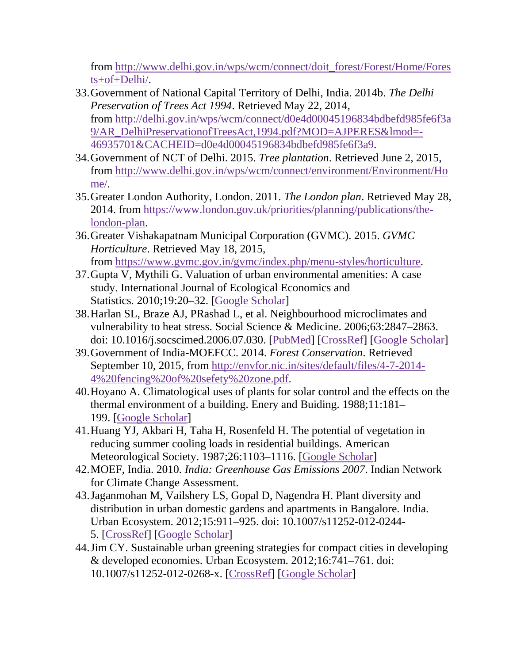from [http://www.delhi.gov.in/wps/wcm/connect/doit\\_forest/Forest/Home/Fores](http://www.delhi.gov.in/wps/wcm/connect/doit_forest/Forest/Home/Forests%2bof%2bDelhi/) [ts+of+Delhi/.](http://www.delhi.gov.in/wps/wcm/connect/doit_forest/Forest/Home/Forests%2bof%2bDelhi/)

- 33.Government of National Capital Territory of Delhi, India. 2014b. *The Delhi Preservation of Trees Act 1994*. Retrieved May 22, 2014, from [http://delhi.gov.in/wps/wcm/connect/d0e4d00045196834bdbefd985fe6f3a](http://delhi.gov.in/wps/wcm/connect/d0e4d00045196834bdbefd985fe6f3a9/AR_DelhiPreservationofTreesAct%2c1994.pdf%3fMOD%3dAJPERES%26lmod%3d-46935701%26CACHEID%3dd0e4d00045196834bdbefd985fe6f3a9) [9/AR\\_DelhiPreservationofTreesAct,1994.pdf?MOD=AJPERES&lmod=-](http://delhi.gov.in/wps/wcm/connect/d0e4d00045196834bdbefd985fe6f3a9/AR_DelhiPreservationofTreesAct%2c1994.pdf%3fMOD%3dAJPERES%26lmod%3d-46935701%26CACHEID%3dd0e4d00045196834bdbefd985fe6f3a9) [46935701&CACHEID=d0e4d00045196834bdbefd985fe6f3a9.](http://delhi.gov.in/wps/wcm/connect/d0e4d00045196834bdbefd985fe6f3a9/AR_DelhiPreservationofTreesAct%2c1994.pdf%3fMOD%3dAJPERES%26lmod%3d-46935701%26CACHEID%3dd0e4d00045196834bdbefd985fe6f3a9)
- 34.Government of NCT of Delhi. 2015. *Tree plantation*. Retrieved June 2, 2015, from [http://www.delhi.gov.in/wps/wcm/connect/environment/Environment/Ho](http://www.delhi.gov.in/wps/wcm/connect/environment/Environment/Home/) [me/.](http://www.delhi.gov.in/wps/wcm/connect/environment/Environment/Home/)
- 35.Greater London Authority, London. 2011. *The London plan*. Retrieved May 28, 2014. from [https://www.london.gov.uk/priorities/planning/publications/the](https://www.london.gov.uk/priorities/planning/publications/the-london-plan)[london-plan.](https://www.london.gov.uk/priorities/planning/publications/the-london-plan)
- 36.Greater Vishakapatnam Municipal Corporation (GVMC). 2015. *GVMC Horticulture*. Retrieved May 18, 2015, from [https://www.gvmc.gov.in/gvmc/index.php/menu-styles/horticulture.](https://www.gvmc.gov.in/gvmc/index.php/menu-styles/horticulture)
- 37.Gupta V, Mythili G. Valuation of urban environmental amenities: A case study. International Journal of Ecological Economics and Statistics. 2010;19:20–32. [\[Google Scholar\]](https://scholar.google.com/scholar_lookup?journal=International+Journal+of+Ecological+Economics+and+Statistics&title=Valuation+of+urban+environmental+amenities:+A+case+study&author=V+Gupta&author=G+Mythili&volume=19&publication_year=2010&pages=20-32&)
- 38.Harlan SL, Braze AJ, PRashad L, et al. Neighbourhood microclimates and vulnerability to heat stress. Social Science & Medicine. 2006;63:2847–2863. doi: 10.1016/j.socscimed.2006.07.030. [\[PubMed\]](https://www.ncbi.nlm.nih.gov/pubmed/16996668) [\[CrossRef\]](https://dx.doi.org/10.1016%2Fj.socscimed.2006.07.030) [\[Google Scholar\]](https://scholar.google.com/scholar_lookup?journal=Social+Science+&+Medicine.&title=Neighbourhood+microclimates+and+vulnerability+to+heat+stress&author=SL+Harlan&author=AJ+Braze&author=L+PRashad&volume=63&publication_year=2006&pages=2847-2863&pmid=16996668&doi=10.1016/j.socscimed.2006.07.030&)
- 39.Government of India-MOEFCC. 2014. *Forest Conservation*. Retrieved September 10, 2015, from [http://envfor.nic.in/sites/default/files/4-7-2014-](http://envfor.nic.in/sites/default/files/4-7-2014-4%2520fencing%2520of%2520sefety%2520zone.pdf) [4%20fencing%20of%20sefety%20zone.pdf.](http://envfor.nic.in/sites/default/files/4-7-2014-4%2520fencing%2520of%2520sefety%2520zone.pdf)
- 40.Hoyano A. Climatological uses of plants for solar control and the effects on the thermal environment of a building. Enery and Buiding. 1988;11:181– 199. [\[Google Scholar\]](https://scholar.google.com/scholar_lookup?journal=Enery+and+Buiding&title=Climatological+uses+of+plants+for+solar+control+and+the+effects+on+the+thermal+environment+of+a+building&author=A+Hoyano&volume=11&publication_year=1988&pages=181-199&)
- 41.Huang YJ, Akbari H, Taha H, Rosenfeld H. The potential of vegetation in reducing summer cooling loads in residential buildings. American Meteorological Society. 1987;26:1103–1116. [\[Google Scholar\]](https://scholar.google.com/scholar_lookup?journal=American+Meteorological+Society.&title=The+potential+of+vegetation+in+reducing+summer+cooling+loads+in+residential+buildings&author=YJ+Huang&author=H+Akbari&author=H+Taha&author=H+Rosenfeld&volume=26&publication_year=1987&pages=1103-1116&)
- 42.MOEF, India. 2010. *India: Greenhouse Gas Emissions 2007*. Indian Network for Climate Change Assessment.
- 43.Jaganmohan M, Vailshery LS, Gopal D, Nagendra H. Plant diversity and distribution in urban domestic gardens and apartments in Bangalore. India. Urban Ecosystem. 2012;15:911–925. doi: 10.1007/s11252-012-0244- 5. [\[CrossRef\]](https://dx.doi.org/10.1007%2Fs11252-012-0244-5) [\[Google Scholar\]](https://scholar.google.com/scholar_lookup?journal=India.+Urban+Ecosystem.&title=Plant+diversity+and+distribution+in+urban+domestic+gardens+and+apartments+in+Bangalore&author=M+Jaganmohan&author=LS+Vailshery&author=D+Gopal&author=H+Nagendra&volume=15&publication_year=2012&pages=911-925&doi=10.1007/s11252-012-0244-5&)
- 44.Jim CY. Sustainable urban greening strategies for compact cities in developing & developed economies. Urban Ecosystem. 2012;16:741–761. doi: 10.1007/s11252-012-0268-x. [\[CrossRef\]](https://dx.doi.org/10.1007%2Fs11252-012-0268-x) [\[Google Scholar\]](https://scholar.google.com/scholar_lookup?journal=Urban+Ecosystem.&title=Sustainable+urban+greening+strategies+for+compact+cities+in+developing+&+developed+economies&author=CY+Jim&volume=16&publication_year=2012&pages=741-761&doi=10.1007/s11252-012-0268-x&)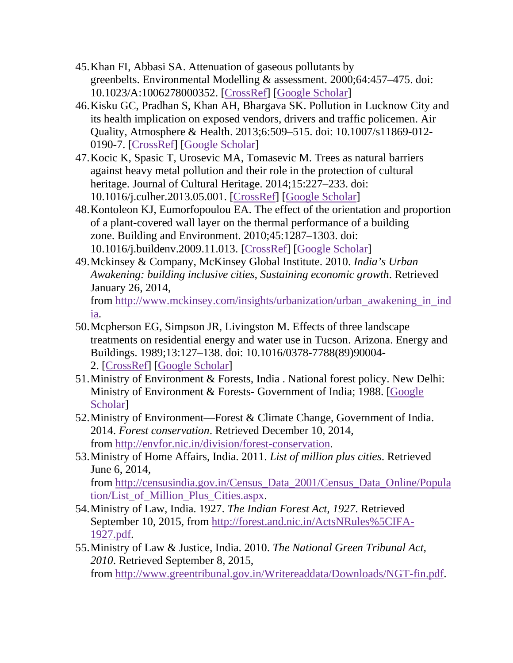- 45.Khan FI, Abbasi SA. Attenuation of gaseous pollutants by greenbelts. Environmental Modelling & assessment. 2000;64:457–475. doi: 10.1023/A:1006278000352. [\[CrossRef\]](https://dx.doi.org/10.1023%2FA%3A1006278000352) [\[Google Scholar\]](https://scholar.google.com/scholar_lookup?journal=Environmental+Modelling+&+assessment.&title=Attenuation+of+gaseous+pollutants+by+greenbelts&author=FI+Khan&author=SA+Abbasi&volume=64&publication_year=2000&pages=457-475&doi=10.1023/A:1006278000352&)
- 46.Kisku GC, Pradhan S, Khan AH, Bhargava SK. Pollution in Lucknow City and its health implication on exposed vendors, drivers and traffic policemen. Air Quality, Atmosphere & Health. 2013;6:509–515. doi: 10.1007/s11869-012- 0190-7. [\[CrossRef\]](https://dx.doi.org/10.1007%2Fs11869-012-0190-7) [\[Google Scholar\]](https://scholar.google.com/scholar_lookup?journal=Air+Quality,+Atmosphere+&+Health.&title=Pollution+in+Lucknow+City+and+its+health+implication+on+exposed+vendors,+drivers+and+traffic+policemen&author=GC+Kisku&author=S+Pradhan&author=AH+Khan&author=SK+Bhargava&volume=6&publication_year=2013&pages=509-515&doi=10.1007/s11869-012-0190-7&)
- 47.Kocic K, Spasic T, Urosevic MA, Tomasevic M. Trees as natural barriers against heavy metal pollution and their role in the protection of cultural heritage. Journal of Cultural Heritage. 2014;15:227–233. doi: 10.1016/j.culher.2013.05.001. [\[CrossRef\]](https://dx.doi.org/10.1016%2Fj.culher.2013.05.001) [\[Google Scholar\]](https://scholar.google.com/scholar_lookup?journal=Journal+of+Cultural+Heritage.&title=Trees+as+natural+barriers+against+heavy+metal+pollution+and+their+role+in+the+protection+of+cultural+heritage&author=K+Kocic&author=T+Spasic&author=MA+Urosevic&author=M+Tomasevic&volume=15&publication_year=2014&pages=227-233&doi=10.1016/j.culher.2013.05.001&)
- 48.Kontoleon KJ, Eumorfopoulou EA. The effect of the orientation and proportion of a plant-covered wall layer on the thermal performance of a building zone. Building and Environment. 2010;45:1287–1303. doi: 10.1016/j.buildenv.2009.11.013. [\[CrossRef\]](https://dx.doi.org/10.1016%2Fj.buildenv.2009.11.013) [\[Google Scholar\]](https://scholar.google.com/scholar_lookup?journal=Building+and+Environment.&title=The+effect+of+the+orientation+and+proportion+of+a+plant-covered+wall+layer+on+the+thermal+performance+of+a+building+zone&author=KJ+Kontoleon&author=EA+Eumorfopoulou&volume=45&publication_year=2010&pages=1287-1303&doi=10.1016/j.buildenv.2009.11.013&)
- 49.Mckinsey & Company, McKinsey Global Institute. 2010. *India's Urban Awakening: building inclusive cities, Sustaining economic growth*. Retrieved January 26, 2014, from [http://www.mckinsey.com/insights/urbanization/urban\\_awakening\\_in\\_ind](http://www.mckinsey.com/insights/urbanization/urban_awakening_in_india)

[ia.](http://www.mckinsey.com/insights/urbanization/urban_awakening_in_india)

- 50.Mcpherson EG, Simpson JR, Livingston M. Effects of three landscape treatments on residential energy and water use in Tucson. Arizona. Energy and Buildings. 1989;13:127–138. doi: 10.1016/0378-7788(89)90004- 2. [\[CrossRef\]](https://dx.doi.org/10.1016%2F0378-7788(89)90004-2) [\[Google Scholar\]](https://scholar.google.com/scholar_lookup?journal=Arizona.+Energy+and+Buildings.&title=Effects+of+three+landscape+treatments+on+residential+energy+and+water+use+in+Tucson&author=EG+Mcpherson&author=JR+Simpson&author=M+Livingston&volume=13&publication_year=1989&pages=127-138&doi=10.1016/0378-7788(89)90004-2&)
- 51.Ministry of Environment & Forests, India . National forest policy. New Delhi: Ministry of Environment & Forests- Government of India; 1988. [\[Google](https://scholar.google.com/scholar_lookup?title=National+forest+policy&publication_year=1988&)  [Scholar\]](https://scholar.google.com/scholar_lookup?title=National+forest+policy&publication_year=1988&)
- 52.Ministry of Environment—Forest & Climate Change, Government of India. 2014. *Forest conservation*. Retrieved December 10, 2014, from [http://envfor.nic.in/division/forest-conservation.](http://envfor.nic.in/division/forest-conservation)
- 53.Ministry of Home Affairs, India. 2011. *List of million plus cities*. Retrieved June 6, 2014, from [http://censusindia.gov.in/Census\\_Data\\_2001/Census\\_Data\\_Online/Popula](http://censusindia.gov.in/Census_Data_2001/Census_Data_Online/Population/List_of_Million_Plus_Cities.aspx)

[tion/List\\_of\\_Million\\_Plus\\_Cities.aspx.](http://censusindia.gov.in/Census_Data_2001/Census_Data_Online/Population/List_of_Million_Plus_Cities.aspx) 54.Ministry of Law, India. 1927. *The Indian Forest Act, 1927*. Retrieved

- September 10, 2015, from [http://forest.and.nic.in/ActsNRules%5CIFA-](http://forest.and.nic.in/ActsNRules%255CIFA-1927.pdf)[1927.pdf.](http://forest.and.nic.in/ActsNRules%255CIFA-1927.pdf)
- 55.Ministry of Law & Justice, India. 2010. *The National Green Tribunal Act, 2010*. Retrieved September 8, 2015, from [http://www.greentribunal.gov.in/Writereaddata/Downloads/NGT-fin.pdf.](http://www.greentribunal.gov.in/Writereaddata/Downloads/NGT-fin.pdf)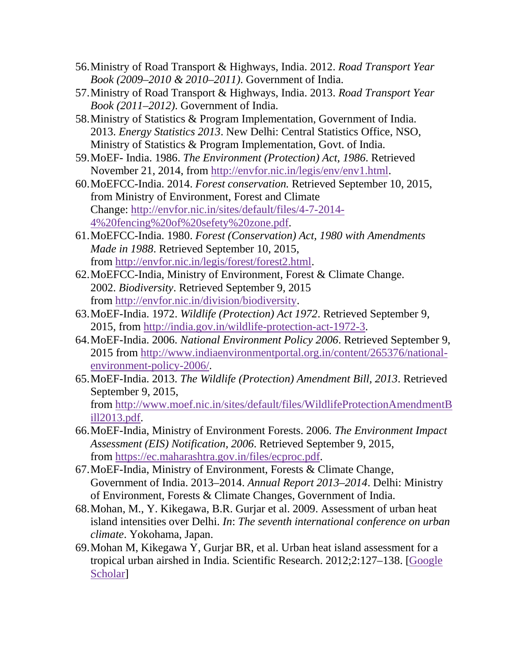- 56.Ministry of Road Transport & Highways, India. 2012. *Road Transport Year Book (2009–2010 & 2010–2011)*. Government of India.
- 57.Ministry of Road Transport & Highways, India. 2013. *Road Transport Year Book (2011–2012)*. Government of India.
- 58.Ministry of Statistics & Program Implementation, Government of India. 2013. *Energy Statistics 2013*. New Delhi: Central Statistics Office, NSO, Ministry of Statistics & Program Implementation, Govt. of India.
- 59.MoEF- India. 1986. *The Environment (Protection) Act, 1986*. Retrieved November 21, 2014, from [http://envfor.nic.in/legis/env/env1.html.](http://envfor.nic.in/legis/env/env1.html)
- 60.MoEFCC-India. 2014. *Forest conservation.* Retrieved September 10, 2015, from Ministry of Environment, Forest and Climate Change: [http://envfor.nic.in/sites/default/files/4-7-2014-](http://envfor.nic.in/sites/default/files/4-7-2014-4%2520fencing%2520of%2520sefety%2520zone.pdf) [4%20fencing%20of%20sefety%20zone.pdf.](http://envfor.nic.in/sites/default/files/4-7-2014-4%2520fencing%2520of%2520sefety%2520zone.pdf)
- 61.MoEFCC-India. 1980. *Forest (Conservation) Act, 1980 with Amendments Made in 1988*. Retrieved September 10, 2015, from [http://envfor.nic.in/legis/forest/forest2.html.](http://envfor.nic.in/legis/forest/forest2.html)
- 62.MoEFCC-India, Ministry of Environment, Forest & Climate Change. 2002. *Biodiversity*. Retrieved September 9, 2015 from [http://envfor.nic.in/division/biodiversity.](http://envfor.nic.in/division/biodiversity)
- 63.MoEF-India. 1972. *Wildlife (Protection) Act 1972*. Retrieved September 9, 2015, from [http://india.gov.in/wildlife-protection-act-1972-3.](http://india.gov.in/wildlife-protection-act-1972-3)
- 64.MoEF-India. 2006. *National Environment Policy 2006*. Retrieved September 9, 2015 from [http://www.indiaenvironmentportal.org.in/content/265376/national](http://www.indiaenvironmentportal.org.in/content/265376/national-environment-policy-2006/)[environment-policy-2006/.](http://www.indiaenvironmentportal.org.in/content/265376/national-environment-policy-2006/)
- 65.MoEF-India. 2013. *The Wildlife (Protection) Amendment Bill, 2013*. Retrieved September 9, 2015, from [http://www.moef.nic.in/sites/default/files/WildlifeProtectionAmendmentB](http://www.moef.nic.in/sites/default/files/WildlifeProtectionAmendmentBill2013.pdf) [ill2013.pdf.](http://www.moef.nic.in/sites/default/files/WildlifeProtectionAmendmentBill2013.pdf)
- 66.MoEF-India, Ministry of Environment Forests. 2006. *The Environment Impact Assessment (EIS) Notification, 2006*. Retrieved September 9, 2015, from [https://ec.maharashtra.gov.in/files/ecproc.pdf.](https://ec.maharashtra.gov.in/files/ecproc.pdf)
- 67.MoEF-India, Ministry of Environment, Forests & Climate Change, Government of India. 2013–2014. *Annual Report 2013–2014*. Delhi: Ministry of Environment, Forests & Climate Changes, Government of India.
- 68.Mohan, M., Y. Kikegawa, B.R. Gurjar et al. 2009. Assessment of urban heat island intensities over Delhi. *In*: *The seventh international conference on urban climate*. Yokohama, Japan.
- 69.Mohan M, Kikegawa Y, Gurjar BR, et al. Urban heat island assessment for a tropical urban airshed in India. Scientific Research. 2012;2:127–138. [\[Google](https://scholar.google.com/scholar_lookup?journal=Scientific+Research.&title=Urban+heat+island+assessment+for+a+tropical+urban+airshed+in+India&author=M+Mohan&author=Y+Kikegawa&author=BR+Gurjar&volume=2&publication_year=2012&pages=127-138&)  [Scholar\]](https://scholar.google.com/scholar_lookup?journal=Scientific+Research.&title=Urban+heat+island+assessment+for+a+tropical+urban+airshed+in+India&author=M+Mohan&author=Y+Kikegawa&author=BR+Gurjar&volume=2&publication_year=2012&pages=127-138&)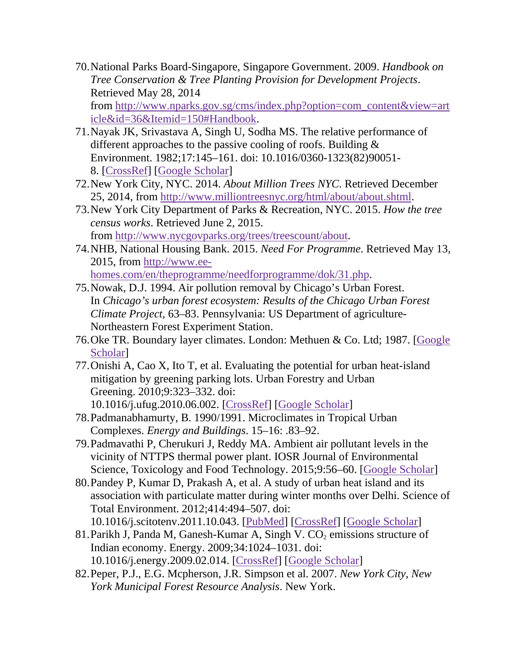70.National Parks Board-Singapore, Singapore Government. 2009. *Handbook on Tree Conservation & Tree Planting Provision for Development Projects*. Retrieved May 28, 2014

from [http://www.nparks.gov.sg/cms/index.php?option=com\\_content&view=art](http://www.nparks.gov.sg/cms/index.php%3foption%3dcom_content%26view%3darticle%26id%3d36%26Itemid%3d150%23Handbook) [icle&id=36&Itemid=150#Handbook.](http://www.nparks.gov.sg/cms/index.php%3foption%3dcom_content%26view%3darticle%26id%3d36%26Itemid%3d150%23Handbook)

- 71.Nayak JK, Srivastava A, Singh U, Sodha MS. The relative performance of different approaches to the passive cooling of roofs. Building & Environment. 1982;17:145–161. doi: 10.1016/0360-1323(82)90051- 8. [\[CrossRef\]](https://dx.doi.org/10.1016%2F0360-1323(82)90051-8) [\[Google Scholar\]](https://scholar.google.com/scholar_lookup?journal=Building+&+Environment.&title=The+relative+performance+of+different+approaches+to+the+passive+cooling+of+roofs&author=JK+Nayak&author=A+Srivastava&author=U+Singh&author=MS+Sodha&volume=17&publication_year=1982&pages=145-161&doi=10.1016/0360-1323(82)90051-8&)
- 72.New York City, NYC. 2014. *About Million Trees NYC*. Retrieved December 25, 2014, from [http://www.milliontreesnyc.org/html/about/about.shtml.](http://www.milliontreesnyc.org/html/about/about.shtml)
- 73.New York City Department of Parks & Recreation, NYC. 2015. *How the tree census works*. Retrieved June 2, 2015. from [http://www.nycgovparks.org/trees/treescount/about.](http://www.nycgovparks.org/trees/treescount/about)
- 74.NHB, National Housing Bank. 2015. *Need For Programme*. Retrieved May 13, 2015, from [http://www.ee](http://www.ee-homes.com/en/theprogramme/needforprogramme/dok/31.php)[homes.com/en/theprogramme/needforprogramme/dok/31.php.](http://www.ee-homes.com/en/theprogramme/needforprogramme/dok/31.php)
- 75.Nowak, D.J. 1994. Air pollution removal by Chicago's Urban Forest. In *Chicago's urban forest ecosystem: Results of the Chicago Urban Forest Climate Project,* 63–83. Pennsylvania: US Department of agriculture-Northeastern Forest Experiment Station.
- 76.Oke TR. Boundary layer climates. London: Methuen & Co. Ltd; 1987. [\[Google](https://scholar.google.com/scholar_lookup?title=Boundary+layer+climates&author=TR+Oke&publication_year=1987&)  [Scholar\]](https://scholar.google.com/scholar_lookup?title=Boundary+layer+climates&author=TR+Oke&publication_year=1987&)
- 77.Onishi A, Cao X, Ito T, et al. Evaluating the potential for urban heat-island mitigation by greening parking lots. Urban Forestry and Urban Greening. 2010;9:323–332. doi: 10.1016/j.ufug.2010.06.002. [\[CrossRef\]](https://dx.doi.org/10.1016%2Fj.ufug.2010.06.002) [\[Google Scholar\]](https://scholar.google.com/scholar_lookup?journal=Urban+Forestry+and+Urban+Greening.&title=Evaluating+the+potential+for+urban+heat-island+mitigation+by+greening+parking+lots&author=A+Onishi&author=X+Cao&author=T+Ito&volume=9&publication_year=2010&pages=323-332&doi=10.1016/j.ufug.2010.06.002&)
- 78.Padmanabhamurty, B. 1990/1991. Microclimates in Tropical Urban Complexes. *Energy and Buildings*. 15–16: .83–92.
- 79.Padmavathi P, Cherukuri J, Reddy MA. Ambient air pollutant levels in the vicinity of NTTPS thermal power plant. IOSR Journal of Environmental Science, Toxicology and Food Technology. 2015;9:56–60. [\[Google Scholar\]](https://scholar.google.com/scholar_lookup?journal=IOSR+Journal+of+Environmental+Science,+Toxicology+and+Food+Technology.&title=Ambient+air+pollutant+levels+in+the+vicinity+of+NTTPS+thermal+power+plant&author=P+Padmavathi&author=J+Cherukuri&author=MA+Reddy&volume=9&publication_year=2015&pages=56-60&)
- 80.Pandey P, Kumar D, Prakash A, et al. A study of urban heat island and its association with particulate matter during winter months over Delhi. Science of Total Environment. 2012;414:494–507. doi: 10.1016/j.scitotenv.2011.10.043. [\[PubMed\]](https://www.ncbi.nlm.nih.gov/pubmed/22154211) [\[CrossRef\]](https://dx.doi.org/10.1016%2Fj.scitotenv.2011.10.043) [\[Google Scholar\]](https://scholar.google.com/scholar_lookup?journal=Science+of+Total+Environment.&title=A+study+of+urban+heat+island+and+its+association+with+particulate+matter+during+winter+months+over+Delhi&author=P+Pandey&author=D+Kumar&author=A+Prakash&volume=414&publication_year=2012&pages=494-507&doi=10.1016/j.scitotenv.2011.10.043&)
- 81. Parikh J, Panda M, Ganesh-Kumar A, Singh V.  $CO<sub>2</sub>$  emissions structure of Indian economy. Energy. 2009;34:1024–1031. doi: 10.1016/j.energy.2009.02.014. [\[CrossRef\]](https://dx.doi.org/10.1016%2Fj.energy.2009.02.014) [\[Google Scholar\]](https://scholar.google.com/scholar_lookup?journal=Energy.&title=CO2+emissions+structure+of+Indian+economy&author=J+Parikh&author=M+Panda&author=A+Ganesh-Kumar&author=V+Singh&volume=34&publication_year=2009&pages=1024-1031&doi=10.1016/j.energy.2009.02.014&)
- 82.Peper, P.J., E.G. Mcpherson, J.R. Simpson et al. 2007. *New York City, New York Municipal Forest Resource Analysis*. New York.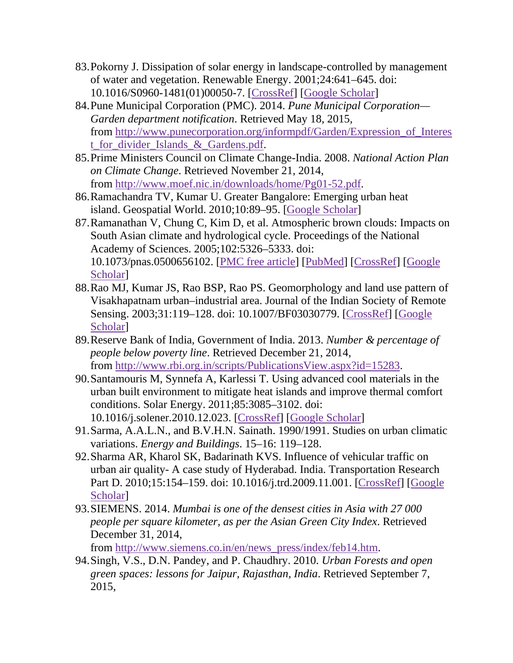- 83.Pokorny J. Dissipation of solar energy in landscape-controlled by management of water and vegetation. Renewable Energy. 2001;24:641–645. doi: 10.1016/S0960-1481(01)00050-7. [\[CrossRef\]](https://dx.doi.org/10.1016%2FS0960-1481(01)00050-7) [\[Google Scholar\]](https://scholar.google.com/scholar_lookup?journal=Renewable+Energy&title=Dissipation+of+solar+energy+in+landscape-controlled+by+management+of+water+and+vegetation&author=J+Pokorny&volume=24&publication_year=2001&pages=641-645&doi=10.1016/S0960-1481(01)00050-7&)
- 84.Pune Municipal Corporation (PMC). 2014. *Pune Municipal Corporation— Garden department notification*. Retrieved May 18, 2015, from [http://www.punecorporation.org/informpdf/Garden/Expression\\_of\\_Interes](http://www.punecorporation.org/informpdf/Garden/Expression_of_Interest_for_divider_Islands_%26_Gardens.pdf) [t\\_for\\_divider\\_Islands\\_&\\_Gardens.pdf.](http://www.punecorporation.org/informpdf/Garden/Expression_of_Interest_for_divider_Islands_%26_Gardens.pdf)
- 85.Prime Ministers Council on Climate Change-India. 2008. *National Action Plan on Climate Change*. Retrieved November 21, 2014, from [http://www.moef.nic.in/downloads/home/Pg01-52.pdf.](http://www.moef.nic.in/downloads/home/Pg01-52.pdf)
- 86.Ramachandra TV, Kumar U. Greater Bangalore: Emerging urban heat island. Geospatial World. 2010;10:89–95. [\[Google Scholar\]](https://scholar.google.com/scholar_lookup?journal=Geospatial+World.&title=Greater+Bangalore:+Emerging+urban+heat+island&author=TV+Ramachandra&author=U+Kumar&volume=10&publication_year=2010&pages=89-95&)
- 87.Ramanathan V, Chung C, Kim D, et al. Atmospheric brown clouds: Impacts on South Asian climate and hydrological cycle. Proceedings of the National Academy of Sciences. 2005;102:5326–5333. doi: 10.1073/pnas.0500656102. [\[PMC free article\]](https://www.ncbi.nlm.nih.gov/pmc/articles/PMC552786/) [\[PubMed\]](https://www.ncbi.nlm.nih.gov/pubmed/15749818) [\[CrossRef\]](https://dx.doi.org/10.1073%2Fpnas.0500656102) [\[Google](https://scholar.google.com/scholar_lookup?journal=Proceedings+of+the+National+Academy+of+Sciences&title=Atmospheric+brown+clouds:+Impacts+on+South+Asian+climate+and+hydrological+cycle&author=V+Ramanathan&author=C+Chung&author=D+Kim&volume=102&publication_year=2005&pages=5326-5333&doi=10.1073/pnas.0500656102&)  [Scholar\]](https://scholar.google.com/scholar_lookup?journal=Proceedings+of+the+National+Academy+of+Sciences&title=Atmospheric+brown+clouds:+Impacts+on+South+Asian+climate+and+hydrological+cycle&author=V+Ramanathan&author=C+Chung&author=D+Kim&volume=102&publication_year=2005&pages=5326-5333&doi=10.1073/pnas.0500656102&)
- 88.Rao MJ, Kumar JS, Rao BSP, Rao PS. Geomorphology and land use pattern of Visakhapatnam urban–industrial area. Journal of the Indian Society of Remote Sensing. 2003;31:119–128. doi: 10.1007/BF03030779. [\[CrossRef\]](https://dx.doi.org/10.1007%2FBF03030779) [\[Google](https://scholar.google.com/scholar_lookup?journal=Journal+of+the+Indian+Society+of+Remote+Sensing.&title=Geomorphology+and+land+use+pattern+of+Visakhapatnam+urban%E2%80%93industrial+area&author=MJ+Rao&author=JS+Kumar&author=BSP+Rao&author=PS+Rao&volume=31&publication_year=2003&pages=119-128&doi=10.1007/BF03030779&)  [Scholar\]](https://scholar.google.com/scholar_lookup?journal=Journal+of+the+Indian+Society+of+Remote+Sensing.&title=Geomorphology+and+land+use+pattern+of+Visakhapatnam+urban%E2%80%93industrial+area&author=MJ+Rao&author=JS+Kumar&author=BSP+Rao&author=PS+Rao&volume=31&publication_year=2003&pages=119-128&doi=10.1007/BF03030779&)
- 89.Reserve Bank of India, Government of India. 2013. *Number & percentage of people below poverty line*. Retrieved December 21, 2014, from [http://www.rbi.org.in/scripts/PublicationsView.aspx?id=15283.](http://www.rbi.org.in/scripts/PublicationsView.aspx?id=15283)
- 90.Santamouris M, Synnefa A, Karlessi T. Using advanced cool materials in the urban built environment to mitigate heat islands and improve thermal comfort conditions. Solar Energy. 2011;85:3085–3102. doi: 10.1016/j.solener.2010.12.023. [\[CrossRef\]](https://dx.doi.org/10.1016%2Fj.solener.2010.12.023) [\[Google Scholar\]](https://scholar.google.com/scholar_lookup?journal=Solar+Energy.&title=Using+advanced+cool+materials+in+the+urban+built+environment+to+mitigate+heat+islands+and+improve+thermal+comfort+conditions&author=M+Santamouris&author=A+Synnefa&author=T+Karlessi&volume=85&publication_year=2011&pages=3085-3102&doi=10.1016/j.solener.2010.12.023&)
- 91.Sarma, A.A.L.N., and B.V.H.N. Sainath. 1990/1991. Studies on urban climatic variations. *Energy and Buildings*. 15–16: 119–128.
- 92.Sharma AR, Kharol SK, Badarinath KVS. Influence of vehicular traffic on urban air quality- A case study of Hyderabad. India. Transportation Research Part D. 2010;15:154–159. doi: 10.1016/j.trd.2009.11.001. [\[CrossRef\]](https://dx.doi.org/10.1016%2Fj.trd.2009.11.001) [\[Google](https://scholar.google.com/scholar_lookup?journal=India.+Transportation+Research+Part+D.&title=Influence+of+vehicular+traffic+on+urban+air+quality-+A+case+study+of+Hyderabad&author=AR+Sharma&author=SK+Kharol&author=KVS+Badarinath&volume=15&publication_year=2010&pages=154-159&doi=10.1016/j.trd.2009.11.001&)  [Scholar\]](https://scholar.google.com/scholar_lookup?journal=India.+Transportation+Research+Part+D.&title=Influence+of+vehicular+traffic+on+urban+air+quality-+A+case+study+of+Hyderabad&author=AR+Sharma&author=SK+Kharol&author=KVS+Badarinath&volume=15&publication_year=2010&pages=154-159&doi=10.1016/j.trd.2009.11.001&)
- 93.SIEMENS. 2014. *Mumbai is one of the densest cities in Asia with 27 000 people per square kilometer, as per the Asian Green City Index*. Retrieved December 31, 2014,

from [http://www.siemens.co.in/en/news\\_press/index/feb14.htm.](http://www.siemens.co.in/en/news_press/index/feb14.htm)

94.Singh, V.S., D.N. Pandey, and P. Chaudhry. 2010. *Urban Forests and open green spaces: lessons for Jaipur, Rajasthan, India*. Retrieved September 7, 2015,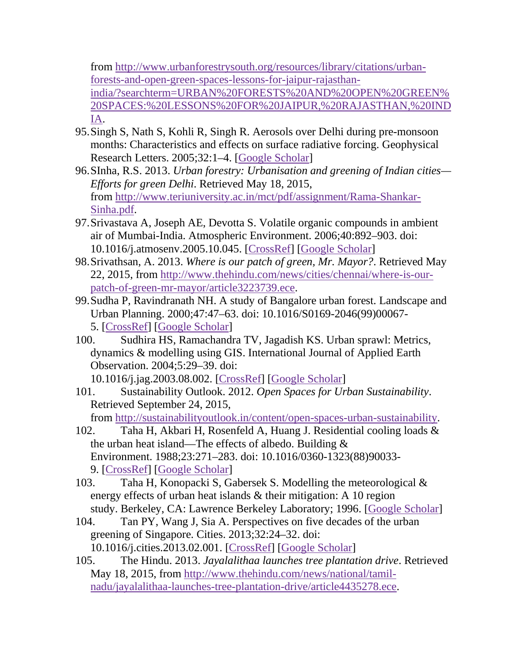from [http://www.urbanforestrysouth.org/resources/library/citations/urban](http://www.urbanforestrysouth.org/resources/library/citations/urban-forests-and-open-green-spaces-lessons-for-jaipur-rajasthan-india/%3fsearchterm%3dURBAN%2520FORESTS%2520AND%2520OPEN%2520GREEN%2520SPACES:%2520LESSONS%2520FOR%2520JAIPUR%2c%2520RAJASTHAN%2c%2520INDIA)[forests-and-open-green-spaces-lessons-for-jaipur-rajasthan](http://www.urbanforestrysouth.org/resources/library/citations/urban-forests-and-open-green-spaces-lessons-for-jaipur-rajasthan-india/%3fsearchterm%3dURBAN%2520FORESTS%2520AND%2520OPEN%2520GREEN%2520SPACES:%2520LESSONS%2520FOR%2520JAIPUR%2c%2520RAJASTHAN%2c%2520INDIA)[india/?searchterm=URBAN%20FORESTS%20AND%20OPEN%20GREEN%](http://www.urbanforestrysouth.org/resources/library/citations/urban-forests-and-open-green-spaces-lessons-for-jaipur-rajasthan-india/%3fsearchterm%3dURBAN%2520FORESTS%2520AND%2520OPEN%2520GREEN%2520SPACES:%2520LESSONS%2520FOR%2520JAIPUR%2c%2520RAJASTHAN%2c%2520INDIA) [20SPACES:%20LESSONS%20FOR%20JAIPUR,%20RAJASTHAN,%20IND](http://www.urbanforestrysouth.org/resources/library/citations/urban-forests-and-open-green-spaces-lessons-for-jaipur-rajasthan-india/%3fsearchterm%3dURBAN%2520FORESTS%2520AND%2520OPEN%2520GREEN%2520SPACES:%2520LESSONS%2520FOR%2520JAIPUR%2c%2520RAJASTHAN%2c%2520INDIA) [IA.](http://www.urbanforestrysouth.org/resources/library/citations/urban-forests-and-open-green-spaces-lessons-for-jaipur-rajasthan-india/%3fsearchterm%3dURBAN%2520FORESTS%2520AND%2520OPEN%2520GREEN%2520SPACES:%2520LESSONS%2520FOR%2520JAIPUR%2c%2520RAJASTHAN%2c%2520INDIA)

- 95.Singh S, Nath S, Kohli R, Singh R. Aerosols over Delhi during pre-monsoon months: Characteristics and effects on surface radiative forcing. Geophysical Research Letters. 2005;32:1–4. [\[Google Scholar\]](https://scholar.google.com/scholar_lookup?journal=Geophysical+Research+Letters.&title=Aerosols+over+Delhi+during+pre-monsoon+months:+Characteristics+and+effects+on+surface+radiative+forcing&author=S+Singh&author=S+Nath&author=R+Kohli&author=R+Singh&volume=32&publication_year=2005&pages=1-4&)
- 96.SInha, R.S. 2013. *Urban forestry: Urbanisation and greening of Indian cities— Efforts for green Delhi*. Retrieved May 18, 2015, from [http://www.teriuniversity.ac.in/mct/pdf/assignment/Rama-Shankar-](http://www.teriuniversity.ac.in/mct/pdf/assignment/Rama-Shankar-Sinha.pdf)[Sinha.pdf.](http://www.teriuniversity.ac.in/mct/pdf/assignment/Rama-Shankar-Sinha.pdf)
- 97.Srivastava A, Joseph AE, Devotta S. Volatile organic compounds in ambient air of Mumbai-India. Atmospheric Environment. 2006;40:892–903. doi: 10.1016/j.atmosenv.2005.10.045. [\[CrossRef\]](https://dx.doi.org/10.1016%2Fj.atmosenv.2005.10.045) [\[Google Scholar\]](https://scholar.google.com/scholar_lookup?journal=Atmospheric+Environment.&title=Volatile+organic+compounds+in+ambient+air+of+Mumbai-India&author=A+Srivastava&author=AE+Joseph&author=S+Devotta&volume=40&publication_year=2006&pages=892-903&doi=10.1016/j.atmosenv.2005.10.045&)
- 98.Srivathsan, A. 2013. *Where is our patch of green, Mr. Mayor?*. Retrieved May 22, 2015, from [http://www.thehindu.com/news/cities/chennai/where-is-our](http://www.thehindu.com/news/cities/chennai/where-is-our-patch-of-green-mr-mayor/article3223739.ece)[patch-of-green-mr-mayor/article3223739.ece.](http://www.thehindu.com/news/cities/chennai/where-is-our-patch-of-green-mr-mayor/article3223739.ece)
- 99.Sudha P, Ravindranath NH. A study of Bangalore urban forest. Landscape and Urban Planning. 2000;47:47–63. doi: 10.1016/S0169-2046(99)00067- 5. [\[CrossRef\]](https://dx.doi.org/10.1016%2FS0169-2046(99)00067-5) [\[Google Scholar\]](https://scholar.google.com/scholar_lookup?journal=Landscape+and+Urban+Planning.&title=A+study+of+Bangalore+urban+forest&author=P+Sudha&author=NH+Ravindranath&volume=47&publication_year=2000&pages=47-63&doi=10.1016/S0169-2046(99)00067-5&)
- 100. Sudhira HS, Ramachandra TV, Jagadish KS. Urban sprawl: Metrics, dynamics & modelling using GIS. International Journal of Applied Earth Observation. 2004;5:29–39. doi:

10.1016/j.jag.2003.08.002. [\[CrossRef\]](https://dx.doi.org/10.1016%2Fj.jag.2003.08.002) [\[Google Scholar\]](https://scholar.google.com/scholar_lookup?journal=International+Journal+of+Applied+Earth+Observation&title=Urban+sprawl:+Metrics,+dynamics+&+modelling+using+GIS&author=HS+Sudhira&author=TV+Ramachandra&author=KS+Jagadish&volume=5&publication_year=2004&pages=29-39&doi=10.1016/j.jag.2003.08.002&)

101. Sustainability Outlook. 2012. *Open Spaces for Urban Sustainability*. Retrieved September 24, 2015,

from [http://sustainabilityoutlook.in/content/open-spaces-urban-sustainability.](http://sustainabilityoutlook.in/content/open-spaces-urban-sustainability)

- 102. Taha H, Akbari H, Rosenfeld A, Huang J. Residential cooling loads & the urban heat island—The effects of albedo. Building & Environment. 1988;23:271–283. doi: 10.1016/0360-1323(88)90033- 9. [\[CrossRef\]](https://dx.doi.org/10.1016%2F0360-1323(88)90033-9) [\[Google Scholar\]](https://scholar.google.com/scholar_lookup?journal=Building+&+Environment.&title=Residential+cooling+loads+&+the+urban+heat+island%E2%80%94The+effects+of+albedo&author=H+Taha&author=H+Akbari&author=A+Rosenfeld&author=J+Huang&volume=23&publication_year=1988&pages=271-283&doi=10.1016/0360-1323(88)90033-9&)
- 103. Taha H, Konopacki S, Gabersek S. Modelling the meteorological & energy effects of urban heat islands & their mitigation: A 10 region study. Berkeley, CA: Lawrence Berkeley Laboratory; 1996. [\[Google Scholar\]](https://scholar.google.com/scholar_lookup?title=Modelling+the+meteorological+&+energy+effects+of+urban+heat+islands+&+their+mitigation:+A+10+region+study&author=H+Taha&author=S+Konopacki&author=S+Gabersek&publication_year=1996&)
- 104. Tan PY, Wang J, Sia A. Perspectives on five decades of the urban greening of Singapore. Cities. 2013;32:24–32. doi: 10.1016/j.cities.2013.02.001. [\[CrossRef\]](https://dx.doi.org/10.1016%2Fj.cities.2013.02.001) [\[Google Scholar\]](https://scholar.google.com/scholar_lookup?journal=Cities.&title=Perspectives+on+five+decades+of+the+urban+greening+of+Singapore&author=PY+Tan&author=J+Wang&author=A+Sia&volume=32&publication_year=2013&pages=24-32&doi=10.1016/j.cities.2013.02.001&)
- 105. The Hindu. 2013. *Jayalalithaa launches tree plantation drive*. Retrieved May 18, 2015, from [http://www.thehindu.com/news/national/tamil](http://www.thehindu.com/news/national/tamil-nadu/jayalalithaa-launches-tree-plantation-drive/article4435278.ece)[nadu/jayalalithaa-launches-tree-plantation-drive/article4435278.ece.](http://www.thehindu.com/news/national/tamil-nadu/jayalalithaa-launches-tree-plantation-drive/article4435278.ece)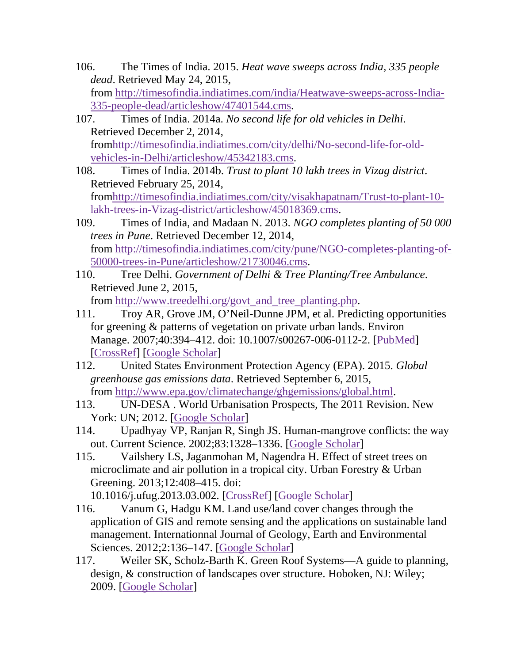- 106. The Times of India. 2015. *Heat wave sweeps across India, 335 people dead*. Retrieved May 24, 2015, from [http://timesofindia.indiatimes.com/india/Heatwave-sweeps-across-India-](http://timesofindia.indiatimes.com/india/Heatwave-sweeps-across-India-335-people-dead/articleshow/47401544.cms)[335-people-dead/articleshow/47401544.cms.](http://timesofindia.indiatimes.com/india/Heatwave-sweeps-across-India-335-people-dead/articleshow/47401544.cms)
- 107. Times of India. 2014a. *No second life for old vehicles in Delhi*. Retrieved December 2, 2014, fro[mhttp://timesofindia.indiatimes.com/city/delhi/No-second-life-for-old](http://timesofindia.indiatimes.com/city/delhi/No-second-life-for-old-vehicles-in-Delhi/articleshow/45342183.cms)[vehicles-in-Delhi/articleshow/45342183.cms.](http://timesofindia.indiatimes.com/city/delhi/No-second-life-for-old-vehicles-in-Delhi/articleshow/45342183.cms)
- 108. Times of India. 2014b. *Trust to plant 10 lakh trees in Vizag district*. Retrieved February 25, 2014, fro[mhttp://timesofindia.indiatimes.com/city/visakhapatnam/Trust-to-plant-10](http://timesofindia.indiatimes.com/city/visakhapatnam/Trust-to-plant-10-lakh-trees-in-Vizag-district/articleshow/45018369.cms) [lakh-trees-in-Vizag-district/articleshow/45018369.cms.](http://timesofindia.indiatimes.com/city/visakhapatnam/Trust-to-plant-10-lakh-trees-in-Vizag-district/articleshow/45018369.cms)
- 109. Times of India, and Madaan N. 2013. *NGO completes planting of 50 000 trees in Pune*. Retrieved December 12, 2014, from [http://timesofindia.indiatimes.com/city/pune/NGO-completes-planting-of-](http://timesofindia.indiatimes.com/city/pune/NGO-completes-planting-of-50000-trees-in-Pune/articleshow/21730046.cms)[50000-trees-in-Pune/articleshow/21730046.cms.](http://timesofindia.indiatimes.com/city/pune/NGO-completes-planting-of-50000-trees-in-Pune/articleshow/21730046.cms)
- 110. Tree Delhi. *Government of Delhi & Tree Planting/Tree Ambulance*. Retrieved June 2, 2015,

from [http://www.treedelhi.org/govt\\_and\\_tree\\_planting.php.](http://www.treedelhi.org/govt_and_tree_planting.php)

- 111. Troy AR, Grove JM, O'Neil-Dunne JPM, et al. Predicting opportunities for greening & patterns of vegetation on private urban lands. Environ Manage. 2007;40:394–412. doi: 10.1007/s00267-006-0112-2. [\[PubMed\]](https://www.ncbi.nlm.nih.gov/pubmed/17602257) [\[CrossRef\]](https://dx.doi.org/10.1007%2Fs00267-006-0112-2) [\[Google Scholar\]](https://scholar.google.com/scholar_lookup?journal=Environ+Manage.&title=Predicting+opportunities+for+greening+&+patterns+of+vegetation+on+private+urban+lands&author=AR+Troy&author=JM+Grove&author=JPM+O%E2%80%99Neil-Dunne&volume=40&publication_year=2007&pages=394-412&pmid=17602257&doi=10.1007/s00267-006-0112-2&)
- 112. United States Environment Protection Agency (EPA). 2015. *Global greenhouse gas emissions data*. Retrieved September 6, 2015, from [http://www.epa.gov/climatechange/ghgemissions/global.html.](http://www.epa.gov/climatechange/ghgemissions/global.html)
- 113. UN-DESA . World Urbanisation Prospects, The 2011 Revision. New York: UN; 2012. [\[Google Scholar\]](https://scholar.google.com/scholar_lookup?title=World+Urbanisation+Prospects,+The+2011+Revision&publication_year=2012&)
- 114. Upadhyay VP, Ranjan R, Singh JS. Human-mangrove conflicts: the way out. Current Science. 2002;83:1328–1336. [\[Google Scholar\]](https://scholar.google.com/scholar_lookup?journal=Current+Science.&title=Human-mangrove+conflicts:+the+way+out&author=VP+Upadhyay&author=R+Ranjan&author=JS+Singh&volume=83&publication_year=2002&pages=1328-1336&)
- 115. Vailshery LS, Jaganmohan M, Nagendra H. Effect of street trees on microclimate and air pollution in a tropical city. Urban Forestry & Urban Greening. 2013;12:408–415. doi:

10.1016/j.ufug.2013.03.002. [\[CrossRef\]](https://dx.doi.org/10.1016%2Fj.ufug.2013.03.002) [\[Google Scholar\]](https://scholar.google.com/scholar_lookup?journal=Urban+Forestry+&+Urban+Greening.&title=Effect+of+street+trees+on+microclimate+and+air+pollution+in+a+tropical+city&author=LS+Vailshery&author=M+Jaganmohan&author=H+Nagendra&volume=12&publication_year=2013&pages=408-415&doi=10.1016/j.ufug.2013.03.002&)

- 116. Vanum G, Hadgu KM. Land use/land cover changes through the application of GIS and remote sensing and the applications on sustainable land management. Internationnal Journal of Geology, Earth and Environmental Sciences. 2012;2:136–147. [\[Google Scholar\]](https://scholar.google.com/scholar_lookup?journal=Internationnal+Journal+of+Geology,+Earth+and+Environmental+Sciences.&title=Land+use/land+cover+changes+through+the+application+of+GIS+and+remote+sensing+and+the+applications+on+sustainable+land+management&author=G+Vanum&author=KM+Hadgu&volume=2&publication_year=2012&pages=136-147&)
- 117. Weiler SK, Scholz-Barth K. Green Roof Systems—A guide to planning, design, & construction of landscapes over structure. Hoboken, NJ: Wiley; 2009. [\[Google Scholar\]](https://scholar.google.com/scholar_lookup?title=Green+Roof+Systems%E2%80%94A+guide+to+planning,+design,+&+construction+of+landscapes+over+structure&author=SK+Weiler&author=K+Scholz-Barth&publication_year=2009&)